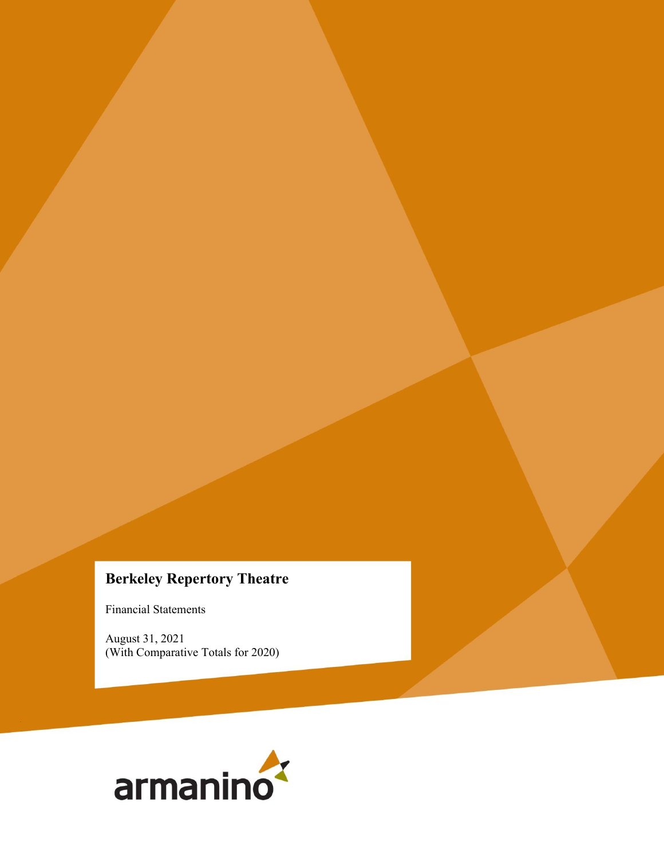# **Berkeley Repertory Theatre**

Financial Statements

August 31, 2021 (With Comparative Totals for 2020)

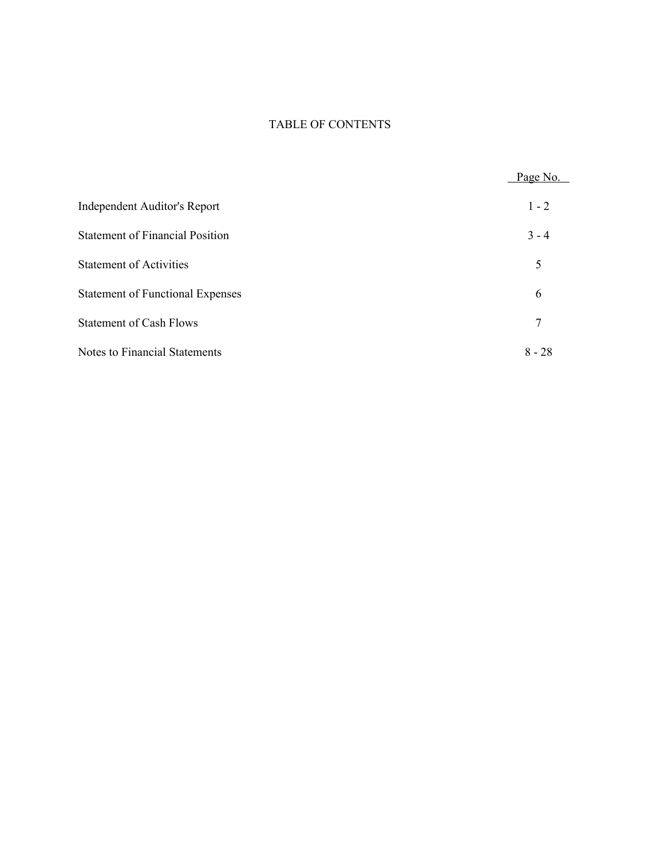### TABLE OF CONTENTS

|                                         | Page No. |
|-----------------------------------------|----------|
| <b>Independent Auditor's Report</b>     | $1 - 2$  |
| <b>Statement of Financial Position</b>  | $3 - 4$  |
| <b>Statement of Activities</b>          | 5        |
| <b>Statement of Functional Expenses</b> | 6        |
| <b>Statement of Cash Flows</b>          | 7        |
| <b>Notes to Financial Statements</b>    | $8 - 28$ |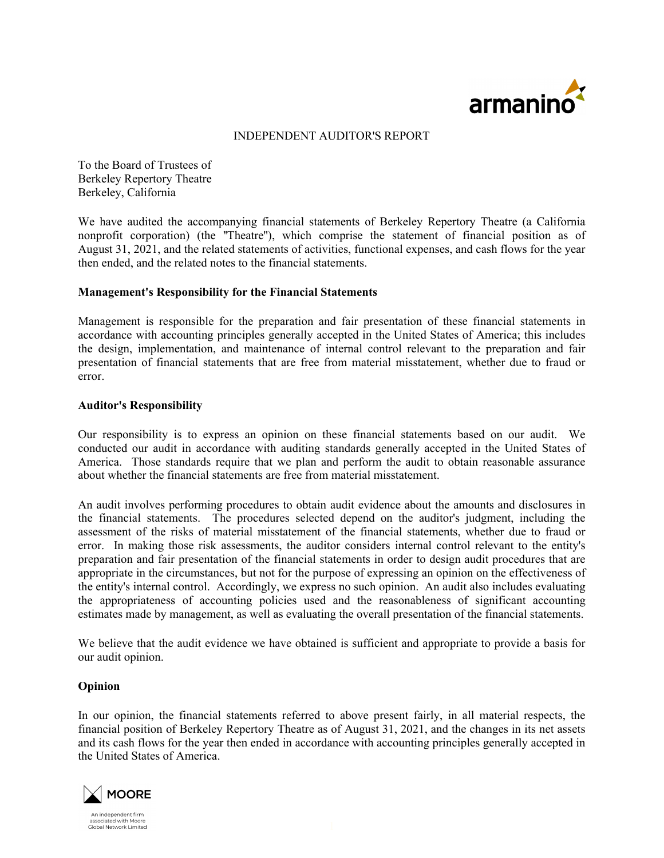

#### INDEPENDENT AUDITOR'S REPORT

To the Board of Trustees of Berkeley Repertory Theatre Berkeley, California

We have audited the accompanying financial statements of Berkeley Repertory Theatre (a California nonprofit corporation) (the ''Theatre''), which comprise the statement of financial position as of August 31, 2021, and the related statements of activities, functional expenses, and cash flows for the year then ended, and the related notes to the financial statements.

#### **Management's Responsibility for the Financial Statements**

Management is responsible for the preparation and fair presentation of these financial statements in accordance with accounting principles generally accepted in the United States of America; this includes the design, implementation, and maintenance of internal control relevant to the preparation and fair presentation of financial statements that are free from material misstatement, whether due to fraud or error.

#### **Auditor's Responsibility**

Our responsibility is to express an opinion on these financial statements based on our audit. We conducted our audit in accordance with auditing standards generally accepted in the United States of America. Those standards require that we plan and perform the audit to obtain reasonable assurance about whether the financial statements are free from material misstatement.

An audit involves performing procedures to obtain audit evidence about the amounts and disclosures in the financial statements. The procedures selected depend on the auditor's judgment, including the assessment of the risks of material misstatement of the financial statements, whether due to fraud or error. In making those risk assessments, the auditor considers internal control relevant to the entity's preparation and fair presentation of the financial statements in order to design audit procedures that are appropriate in the circumstances, but not for the purpose of expressing an opinion on the effectiveness of the entity's internal control. Accordingly, we express no such opinion. An audit also includes evaluating the appropriateness of accounting policies used and the reasonableness of significant accounting estimates made by management, as well as evaluating the overall presentation of the financial statements.

We believe that the audit evidence we have obtained is sufficient and appropriate to provide a basis for our audit opinion.

### **Opinion**

In our opinion, the financial statements referred to above present fairly, in all material respects, the financial position of Berkeley Repertory Theatre as of August 31, 2021, and the changes in its net assets and its cash flows for the year then ended in accordance with accounting principles generally accepted in the United States of America.



An independent firm Armdependent mm<br>associated with Moore<br>Global Network Limited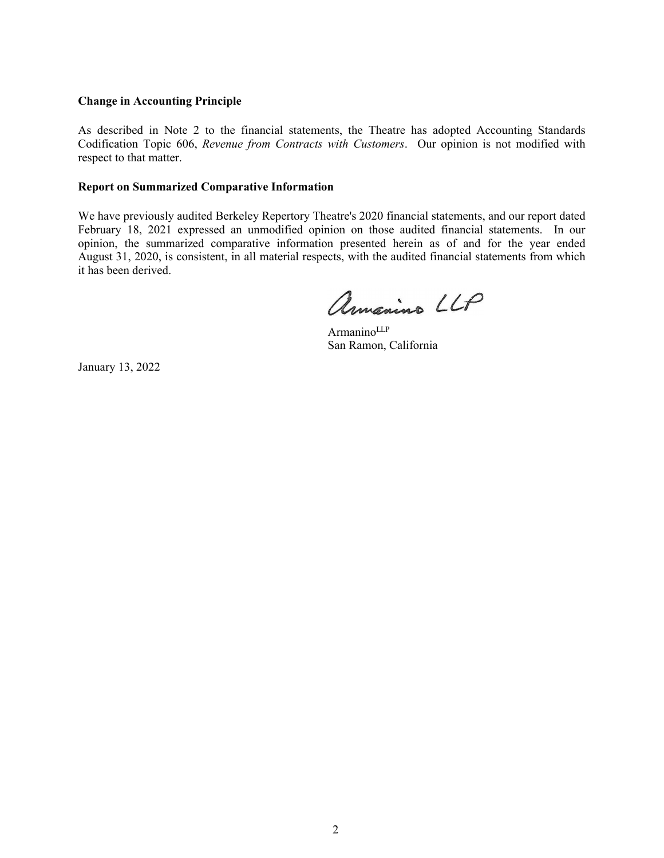### **Change in Accounting Principle**

As described in Note 2 to the financial statements, the Theatre has adopted Accounting Standards Codification Topic 606, *Revenue from Contracts with Customers*. Our opinion is not modified with respect to that matter.

#### **Report on Summarized Comparative Information**

We have previously audited Berkeley Repertory Theatre's 2020 financial statements, and our report dated February 18, 2021 expressed an unmodified opinion on those audited financial statements. In our opinion, the summarized comparative information presented herein as of and for the year ended August 31, 2020, is consistent, in all material respects, with the audited financial statements from which it has been derived.

armanino LLP

ArmaninoLLP San Ramon, California

January 13, 2022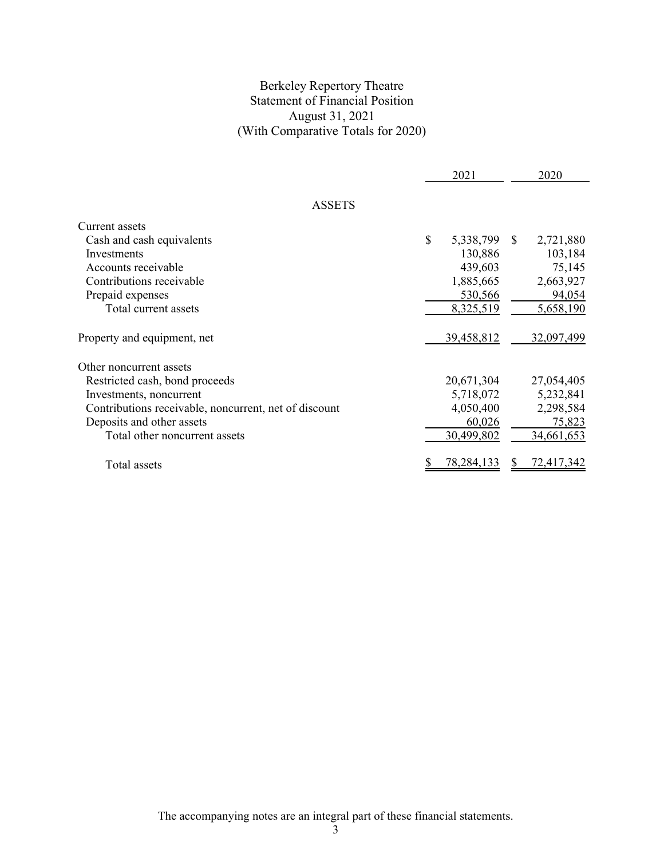# Berkeley Repertory Theatre Statement of Financial Position August 31, 2021 (With Comparative Totals for 2020)

|                                                       |              | 2021       |              | 2020              |
|-------------------------------------------------------|--------------|------------|--------------|-------------------|
| <b>ASSETS</b>                                         |              |            |              |                   |
| Current assets                                        |              |            |              |                   |
| Cash and cash equivalents                             | $\mathbb{S}$ | 5,338,799  | <sup>S</sup> | 2,721,880         |
| Investments                                           |              | 130,886    |              | 103,184           |
| Accounts receivable                                   |              | 439,603    |              | 75,145            |
| Contributions receivable                              |              | 1,885,665  |              | 2,663,927         |
| Prepaid expenses                                      |              | 530,566    |              | 94,054            |
| Total current assets                                  |              | 8,325,519  |              | 5,658,190         |
| Property and equipment, net                           |              | 39,458,812 |              | 32,097,499        |
|                                                       |              |            |              |                   |
| Other noncurrent assets                               |              |            |              |                   |
| Restricted cash, bond proceeds                        |              | 20,671,304 |              | 27,054,405        |
| Investments, noncurrent                               |              | 5,718,072  |              | 5,232,841         |
| Contributions receivable, noncurrent, net of discount |              | 4,050,400  |              | 2,298,584         |
| Deposits and other assets                             |              | 60,026     |              | 75,823            |
| Total other noncurrent assets                         |              | 30,499,802 |              | <u>34,661,653</u> |
| Total assets                                          |              | 78,284,133 |              |                   |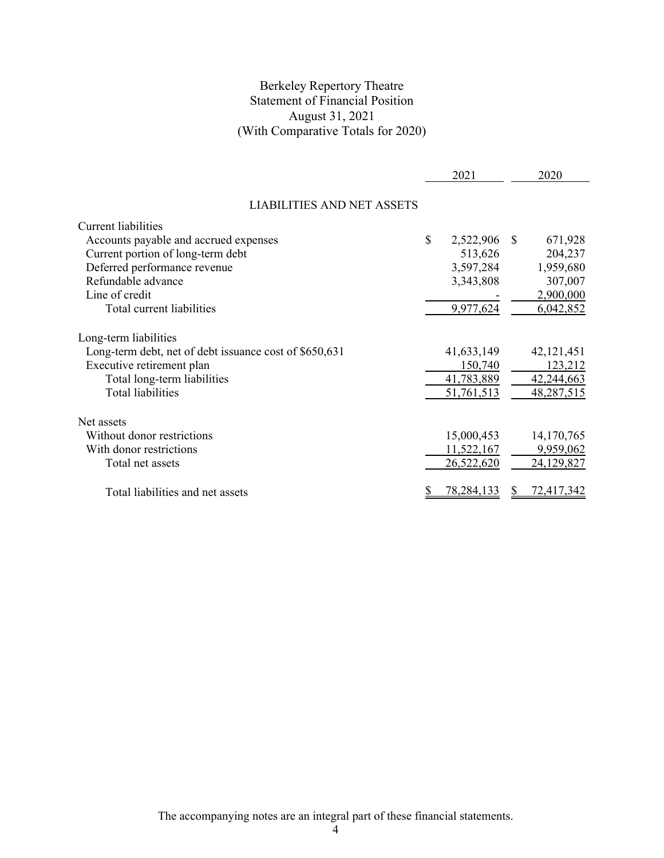# Berkeley Repertory Theatre Statement of Financial Position August 31, 2021 (With Comparative Totals for 2020)

|                                                                                                                                                                                                        | 2021                                                              |               | 2020                                                                 |
|--------------------------------------------------------------------------------------------------------------------------------------------------------------------------------------------------------|-------------------------------------------------------------------|---------------|----------------------------------------------------------------------|
| <b>LIABILITIES AND NET ASSETS</b>                                                                                                                                                                      |                                                                   |               |                                                                      |
| Current liabilities<br>Accounts payable and accrued expenses<br>Current portion of long-term debt<br>Deferred performance revenue<br>Refundable advance<br>Line of credit<br>Total current liabilities | \$<br>2,522,906<br>513,626<br>3,597,284<br>3,343,808<br>9,977,624 | <sup>\$</sup> | 671,928<br>204,237<br>1,959,680<br>307,007<br>2,900,000<br>6,042,852 |
| Long-term liabilities<br>Long-term debt, net of debt issuance cost of \$650,631<br>Executive retirement plan<br>Total long-term liabilities<br><b>Total liabilities</b>                                | 41,633,149<br>150,740<br>41,783,889<br>51,761,513                 |               | 42, 121, 451<br>123,212<br>42,244,663<br>48,287,515                  |
| Net assets<br>Without donor restrictions<br>With donor restrictions<br>Total net assets                                                                                                                | 15,000,453<br>11,522,167<br>26,522,620                            |               | 14,170,765<br>9,959,062<br>24,129,827                                |
| Total liabilities and net assets                                                                                                                                                                       | 78,284,133                                                        |               | 72,417,342                                                           |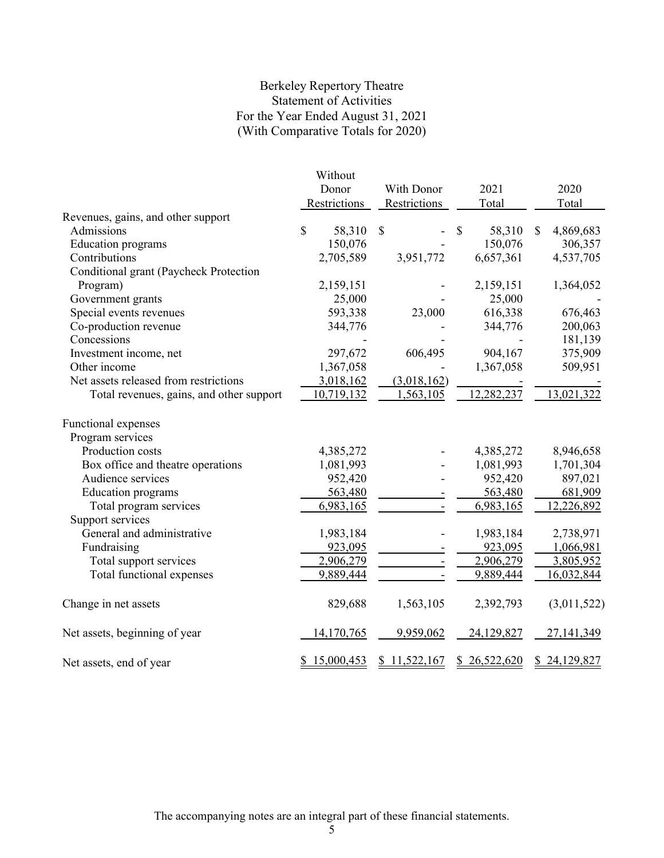# Berkeley Repertory Theatre Statement of Activities For the Year Ended August 31, 2021 (With Comparative Totals for 2020)

|                                          | Without      |                           |                        |                            |
|------------------------------------------|--------------|---------------------------|------------------------|----------------------------|
|                                          | Donor        | With Donor                | 2021                   | 2020                       |
|                                          | Restrictions | Restrictions              | Total                  | Total                      |
| Revenues, gains, and other support       |              |                           |                        |                            |
| Admissions                               | \$<br>58,310 | $\boldsymbol{\mathsf{S}}$ | $\mathbb{S}$<br>58,310 | 4,869,683<br>$\mathcal{S}$ |
| <b>Education programs</b>                | 150,076      |                           | 150,076                | 306,357                    |
| Contributions                            | 2,705,589    | 3,951,772                 | 6,657,361              | 4,537,705                  |
| Conditional grant (Paycheck Protection   |              |                           |                        |                            |
| Program)                                 | 2,159,151    |                           | 2,159,151              | 1,364,052                  |
| Government grants                        | 25,000       |                           | 25,000                 |                            |
| Special events revenues                  | 593,338      | 23,000                    | 616,338                | 676,463                    |
| Co-production revenue                    | 344,776      |                           | 344,776                | 200,063                    |
| Concessions                              |              |                           |                        | 181,139                    |
| Investment income, net                   | 297,672      | 606,495                   | 904,167                | 375,909                    |
| Other income                             | 1,367,058    |                           | 1,367,058              | 509,951                    |
| Net assets released from restrictions    | 3,018,162    | (3,018,162)               |                        |                            |
| Total revenues, gains, and other support | 10,719,132   | 1,563,105                 | 12,282,237             | 13,021,322                 |
| Functional expenses                      |              |                           |                        |                            |
| Program services                         |              |                           |                        |                            |
| Production costs                         | 4,385,272    |                           | 4,385,272              | 8,946,658                  |
| Box office and theatre operations        | 1,081,993    |                           | 1,081,993              | 1,701,304                  |
| Audience services                        | 952,420      |                           | 952,420                | 897,021                    |
| <b>Education</b> programs                | 563,480      |                           | 563,480                | 681,909                    |
| Total program services                   | 6,983,165    |                           | 6,983,165              | 12,226,892                 |
| Support services                         |              |                           |                        |                            |
| General and administrative               | 1,983,184    |                           | 1,983,184              | 2,738,971                  |
| Fundraising                              | 923,095      |                           | 923,095                | 1,066,981                  |
| Total support services                   | 2,906,279    |                           | 2,906,279              | 3,805,952                  |
| Total functional expenses                | 9,889,444    |                           | 9,889,444              | 16,032,844                 |
| Change in net assets                     | 829,688      | 1,563,105                 | 2,392,793              | (3,011,522)                |
| Net assets, beginning of year            | 14,170,765   | 9,959,062                 | 24,129,827             | 27, 141, 349               |
| Net assets, end of year                  | 15,000,453   | 11,522,167                | 26,522,620             | 24,129,827<br>\$           |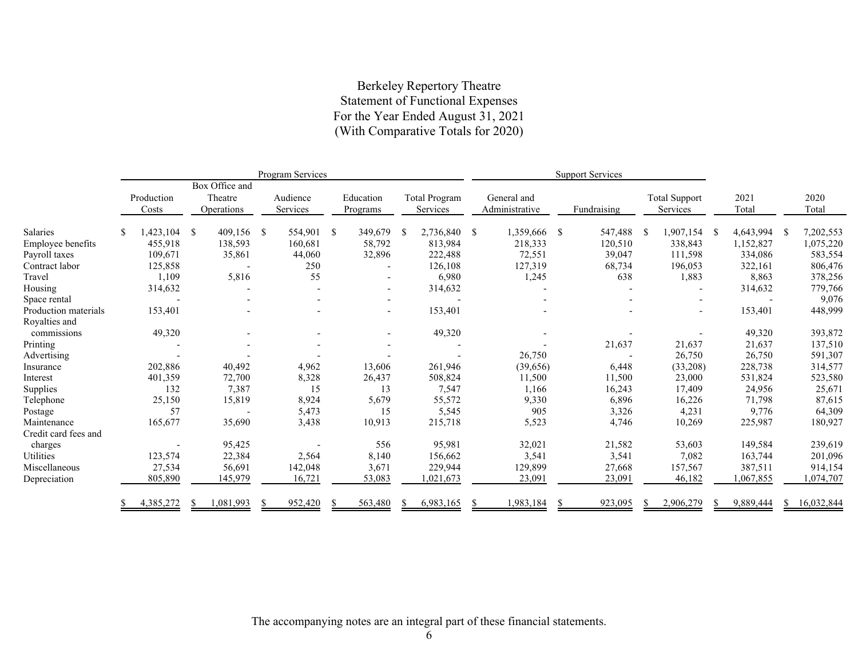# Berkeley Repertory Theatre Statement of Functional Expenses For the Year Ended August 31, 2021 (With Comparative Totals for 2020)

|                      | Program Services |            |      |                |  |          |    | <b>Support Services</b>  |    |               |              |                |  |             |     |                          |    |           |    |            |
|----------------------|------------------|------------|------|----------------|--|----------|----|--------------------------|----|---------------|--------------|----------------|--|-------------|-----|--------------------------|----|-----------|----|------------|
|                      |                  |            |      | Box Office and |  |          |    |                          |    |               |              |                |  |             |     |                          |    |           |    |            |
|                      |                  | Production |      | Theatre        |  | Audience |    | Education                |    | Total Program |              | General and    |  |             |     | <b>Total Support</b>     |    | 2021      |    | 2020       |
|                      |                  | Costs      |      | Operations     |  | Services |    | Programs                 |    | Services      |              | Administrative |  | Fundraising |     | Services                 |    | Total     |    | Total      |
| Salaries             | S.               | 1,423,104  | - \$ | $409,156$ \$   |  | 554,901  | -S | 349,679                  | -S | 2,736,840     | <sup>S</sup> | 1,359,666 \$   |  | 547,488     | - S | 1,907,154                | -S | 4,643,994 | -S | 7,202,553  |
| Employee benefits    |                  | 455,918    |      | 138,593        |  | 160,681  |    | 58,792                   |    | 813,984       |              | 218,333        |  | 120,510     |     | 338,843                  |    | 1,152,827 |    | 1,075,220  |
| Payroll taxes        |                  | 109,671    |      | 35,861         |  | 44,060   |    | 32,896                   |    | 222,488       |              | 72,551         |  | 39,047      |     | 111,598                  |    | 334,086   |    | 583,554    |
| Contract labor       |                  | 125,858    |      |                |  | 250      |    |                          |    | 126,108       |              | 127,319        |  | 68,734      |     | 196,053                  |    | 322,161   |    | 806,476    |
| Travel               |                  | 1,109      |      | 5,816          |  | 55       |    |                          |    | 6,980         |              | 1,245          |  | 638         |     | 1,883                    |    | 8,863     |    | 378,256    |
| Housing              |                  | 314,632    |      |                |  |          |    | $\overline{\phantom{a}}$ |    | 314,632       |              |                |  |             |     |                          |    | 314,632   |    | 779,766    |
| Space rental         |                  |            |      |                |  |          |    |                          |    |               |              |                |  |             |     |                          |    |           |    | 9,076      |
| Production materials |                  | 153,401    |      |                |  |          |    |                          |    | 153,401       |              |                |  |             |     | $\overline{\phantom{0}}$ |    | 153,401   |    | 448,999    |
| Royalties and        |                  |            |      |                |  |          |    |                          |    |               |              |                |  |             |     |                          |    |           |    |            |
| commissions          |                  | 49,320     |      |                |  |          |    |                          |    | 49,320        |              |                |  |             |     |                          |    | 49,320    |    | 393,872    |
| Printing             |                  |            |      |                |  |          |    |                          |    |               |              |                |  | 21,637      |     | 21,637                   |    | 21,637    |    | 137,510    |
| Advertising          |                  |            |      |                |  |          |    |                          |    |               |              | 26,750         |  |             |     | 26,750                   |    | 26,750    |    | 591,307    |
| Insurance            |                  | 202,886    |      | 40,492         |  | 4,962    |    | 13,606                   |    | 261,946       |              | (39,656)       |  | 6,448       |     | (33,208)                 |    | 228,738   |    | 314,577    |
| Interest             |                  | 401,359    |      | 72,700         |  | 8,328    |    | 26,437                   |    | 508,824       |              | 11,500         |  | 11,500      |     | 23,000                   |    | 531,824   |    | 523,580    |
| Supplies             |                  | 132        |      | 7,387          |  | 15       |    | 13                       |    | 7,547         |              | 1,166          |  | 16,243      |     | 17,409                   |    | 24,956    |    | 25,671     |
| Telephone            |                  | 25,150     |      | 15,819         |  | 8,924    |    | 5,679                    |    | 55,572        |              | 9,330          |  | 6,896       |     | 16,226                   |    | 71,798    |    | 87,615     |
| Postage              |                  | 57         |      |                |  | 5,473    |    | 15                       |    | 5,545         |              | 905            |  | 3,326       |     | 4,231                    |    | 9,776     |    | 64,309     |
| Maintenance          |                  | 165,677    |      | 35,690         |  | 3,438    |    | 10,913                   |    | 215,718       |              | 5,523          |  | 4,746       |     | 10,269                   |    | 225,987   |    | 180,927    |
| Credit card fees and |                  |            |      |                |  |          |    |                          |    |               |              |                |  |             |     |                          |    |           |    |            |
| charges              |                  |            |      | 95,425         |  |          |    | 556                      |    | 95,981        |              | 32,021         |  | 21,582      |     | 53,603                   |    | 149,584   |    | 239,619    |
| Utilities            |                  | 123,574    |      | 22,384         |  | 2,564    |    | 8,140                    |    | 156,662       |              | 3,541          |  | 3,541       |     | 7,082                    |    | 163,744   |    | 201,096    |
| Miscellaneous        |                  | 27,534     |      | 56,691         |  | 142,048  |    | 3,671                    |    | 229,944       |              | 129,899        |  | 27,668      |     | 157,567                  |    | 387,511   |    | 914,154    |
| Depreciation         |                  | 805,890    |      | 145,979        |  | 16,721   |    | 53,083                   |    | ,021,673      |              | 23,091         |  | 23,091      |     | 46,182                   |    | 1,067,855 |    | 1,074,707  |
|                      |                  | 4,385,272  |      | 1,081,993      |  | 952,420  |    | 563,480                  |    | 6,983,165     |              | 1,983,184      |  | 923,095     |     | 2,906,279                |    | 9,889,444 |    | 16,032,844 |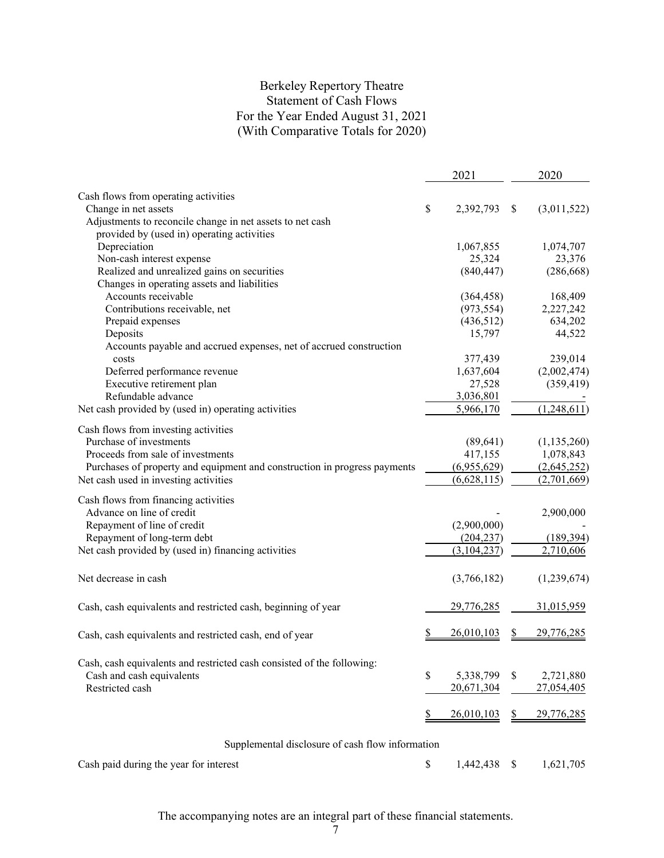# Berkeley Repertory Theatre Statement of Cash Flows For the Year Ended August 31, 2021 (With Comparative Totals for 2020)

|                                                                           | 2021            |               | 2020          |
|---------------------------------------------------------------------------|-----------------|---------------|---------------|
| Cash flows from operating activities                                      |                 |               |               |
| Change in net assets                                                      | \$<br>2,392,793 | \$            | (3,011,522)   |
| Adjustments to reconcile change in net assets to net cash                 |                 |               |               |
| provided by (used in) operating activities                                |                 |               |               |
| Depreciation                                                              | 1,067,855       |               | 1,074,707     |
| Non-cash interest expense                                                 | 25,324          |               | 23,376        |
| Realized and unrealized gains on securities                               | (840, 447)      |               | (286, 668)    |
| Changes in operating assets and liabilities                               |                 |               |               |
| Accounts receivable                                                       | (364, 458)      |               | 168,409       |
| Contributions receivable, net                                             | (973, 554)      |               | 2,227,242     |
| Prepaid expenses                                                          | (436,512)       |               | 634,202       |
| Deposits                                                                  | 15,797          |               | 44,522        |
| Accounts payable and accrued expenses, net of accrued construction        |                 |               |               |
| costs                                                                     | 377,439         |               | 239,014       |
| Deferred performance revenue                                              | 1,637,604       |               | (2,002,474)   |
| Executive retirement plan                                                 | 27,528          |               | (359, 419)    |
| Refundable advance                                                        | 3,036,801       |               |               |
| Net cash provided by (used in) operating activities                       | 5,966,170       |               | (1,248,611)   |
|                                                                           |                 |               |               |
| Cash flows from investing activities                                      |                 |               |               |
| Purchase of investments                                                   | (89, 641)       |               | (1, 135, 260) |
| Proceeds from sale of investments                                         | 417,155         |               | 1,078,843     |
| Purchases of property and equipment and construction in progress payments | (6,955,629)     |               | (2,645,252)   |
| Net cash used in investing activities                                     | (6,628,115)     |               | (2,701,669)   |
| Cash flows from financing activities                                      |                 |               |               |
| Advance on line of credit                                                 |                 |               | 2,900,000     |
| Repayment of line of credit                                               | (2,900,000)     |               |               |
| Repayment of long-term debt                                               | (204, 237)      |               | (189, 394)    |
| Net cash provided by (used in) financing activities                       | (3,104,237)     |               | 2,710,606     |
| Net decrease in cash                                                      | (3,766,182)     |               | (1,239,674)   |
|                                                                           |                 |               |               |
| Cash, cash equivalents and restricted cash, beginning of year             | 29,776,285      |               | 31,015,959    |
| Cash, cash equivalents and restricted cash, end of year                   | 26,010,103      | Y.            | 29,776,285    |
| Cash, cash equivalents and restricted cash consisted of the following:    |                 |               |               |
| Cash and cash equivalents                                                 | \$<br>5,338,799 | \$            | 2,721,880     |
| Restricted cash                                                           | 20,671,304      |               | 27,054,405    |
|                                                                           |                 |               |               |
|                                                                           | 26,010,103      | $\frac{1}{2}$ | 29,776,285    |
| Supplemental disclosure of cash flow information                          |                 |               |               |
| Cash paid during the year for interest                                    | \$<br>1,442,438 | \$            | 1,621,705     |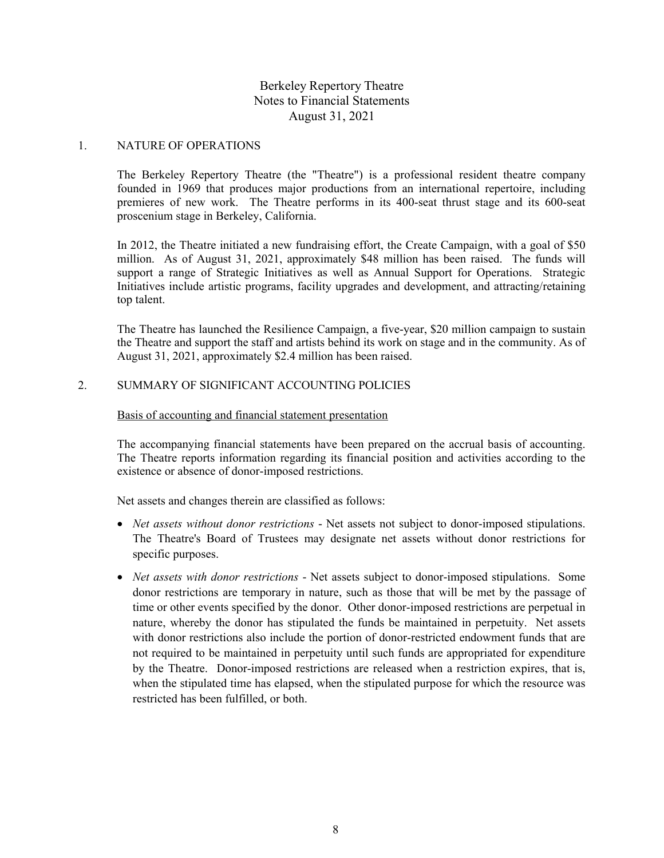#### 1. NATURE OF OPERATIONS

The Berkeley Repertory Theatre (the "Theatre") is a professional resident theatre company founded in 1969 that produces major productions from an international repertoire, including premieres of new work. The Theatre performs in its 400-seat thrust stage and its 600-seat proscenium stage in Berkeley, California.

In 2012, the Theatre initiated a new fundraising effort, the Create Campaign, with a goal of \$50 million. As of August 31, 2021, approximately \$48 million has been raised. The funds will support a range of Strategic Initiatives as well as Annual Support for Operations. Strategic Initiatives include artistic programs, facility upgrades and development, and attracting/retaining top talent.

The Theatre has launched the Resilience Campaign, a five-year, \$20 million campaign to sustain the Theatre and support the staff and artists behind its work on stage and in the community. As of August 31, 2021, approximately \$2.4 million has been raised.

### 2. SUMMARY OF SIGNIFICANT ACCOUNTING POLICIES

#### Basis of accounting and financial statement presentation

The accompanying financial statements have been prepared on the accrual basis of accounting. The Theatre reports information regarding its financial position and activities according to the existence or absence of donor-imposed restrictions.

Net assets and changes therein are classified as follows:

- *Net assets without donor restrictions* Net assets not subject to donor-imposed stipulations. The Theatre's Board of Trustees may designate net assets without donor restrictions for specific purposes.
- *Net assets with donor restrictions* Net assets subject to donor-imposed stipulations. Some donor restrictions are temporary in nature, such as those that will be met by the passage of time or other events specified by the donor. Other donor-imposed restrictions are perpetual in nature, whereby the donor has stipulated the funds be maintained in perpetuity. Net assets with donor restrictions also include the portion of donor-restricted endowment funds that are not required to be maintained in perpetuity until such funds are appropriated for expenditure by the Theatre. Donor-imposed restrictions are released when a restriction expires, that is, when the stipulated time has elapsed, when the stipulated purpose for which the resource was restricted has been fulfilled, or both.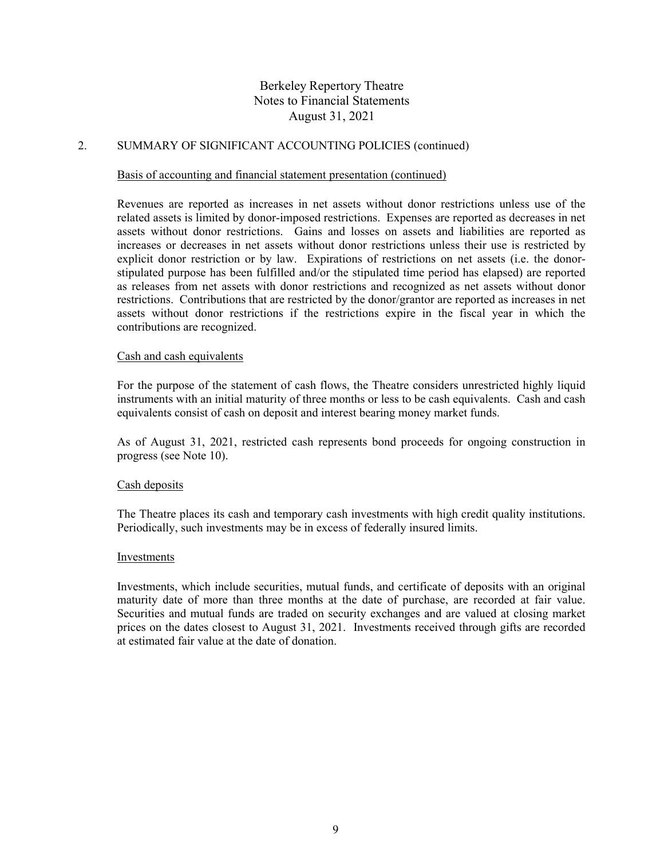#### 2. SUMMARY OF SIGNIFICANT ACCOUNTING POLICIES (continued)

#### Basis of accounting and financial statement presentation (continued)

Revenues are reported as increases in net assets without donor restrictions unless use of the related assets is limited by donor-imposed restrictions. Expenses are reported as decreases in net assets without donor restrictions. Gains and losses on assets and liabilities are reported as increases or decreases in net assets without donor restrictions unless their use is restricted by explicit donor restriction or by law. Expirations of restrictions on net assets (i.e. the donorstipulated purpose has been fulfilled and/or the stipulated time period has elapsed) are reported as releases from net assets with donor restrictions and recognized as net assets without donor restrictions. Contributions that are restricted by the donor/grantor are reported as increases in net assets without donor restrictions if the restrictions expire in the fiscal year in which the contributions are recognized.

#### Cash and cash equivalents

For the purpose of the statement of cash flows, the Theatre considers unrestricted highly liquid instruments with an initial maturity of three months or less to be cash equivalents. Cash and cash equivalents consist of cash on deposit and interest bearing money market funds.

As of August 31, 2021, restricted cash represents bond proceeds for ongoing construction in progress (see Note 10).

#### Cash deposits

The Theatre places its cash and temporary cash investments with high credit quality institutions. Periodically, such investments may be in excess of federally insured limits.

#### Investments

Investments, which include securities, mutual funds, and certificate of deposits with an original maturity date of more than three months at the date of purchase, are recorded at fair value. Securities and mutual funds are traded on security exchanges and are valued at closing market prices on the dates closest to August 31, 2021. Investments received through gifts are recorded at estimated fair value at the date of donation.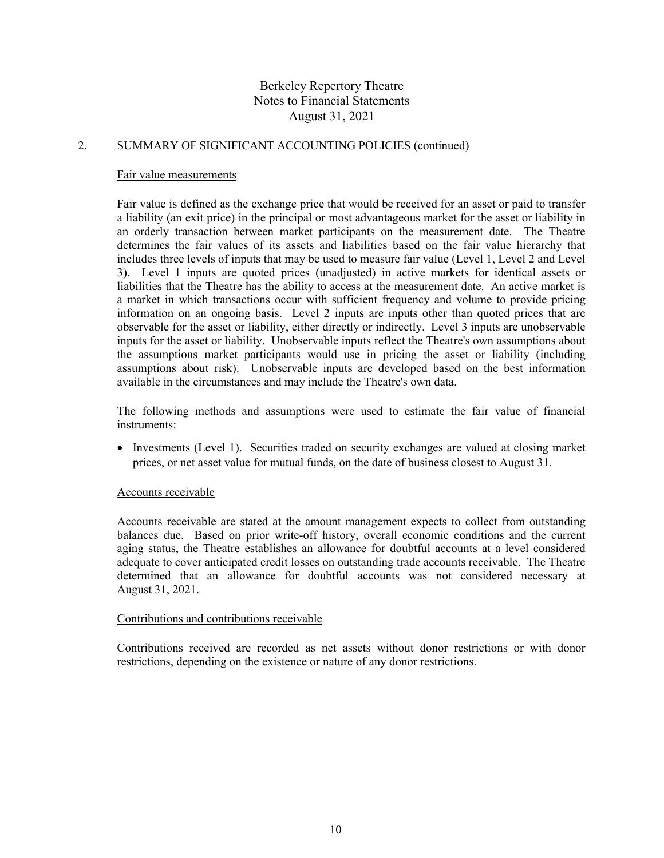### 2. SUMMARY OF SIGNIFICANT ACCOUNTING POLICIES (continued)

#### Fair value measurements

Fair value is defined as the exchange price that would be received for an asset or paid to transfer a liability (an exit price) in the principal or most advantageous market for the asset or liability in an orderly transaction between market participants on the measurement date. The Theatre determines the fair values of its assets and liabilities based on the fair value hierarchy that includes three levels of inputs that may be used to measure fair value (Level 1, Level 2 and Level 3). Level 1 inputs are quoted prices (unadjusted) in active markets for identical assets or liabilities that the Theatre has the ability to access at the measurement date. An active market is a market in which transactions occur with sufficient frequency and volume to provide pricing information on an ongoing basis. Level 2 inputs are inputs other than quoted prices that are observable for the asset or liability, either directly or indirectly. Level 3 inputs are unobservable inputs for the asset or liability. Unobservable inputs reflect the Theatre's own assumptions about the assumptions market participants would use in pricing the asset or liability (including assumptions about risk). Unobservable inputs are developed based on the best information available in the circumstances and may include the Theatre's own data.

The following methods and assumptions were used to estimate the fair value of financial instruments:

• Investments (Level 1). Securities traded on security exchanges are valued at closing market prices, or net asset value for mutual funds, on the date of business closest to August 31.

#### Accounts receivable

Accounts receivable are stated at the amount management expects to collect from outstanding balances due. Based on prior write-off history, overall economic conditions and the current aging status, the Theatre establishes an allowance for doubtful accounts at a level considered adequate to cover anticipated credit losses on outstanding trade accounts receivable. The Theatre determined that an allowance for doubtful accounts was not considered necessary at August 31, 2021.

#### Contributions and contributions receivable

Contributions received are recorded as net assets without donor restrictions or with donor restrictions, depending on the existence or nature of any donor restrictions.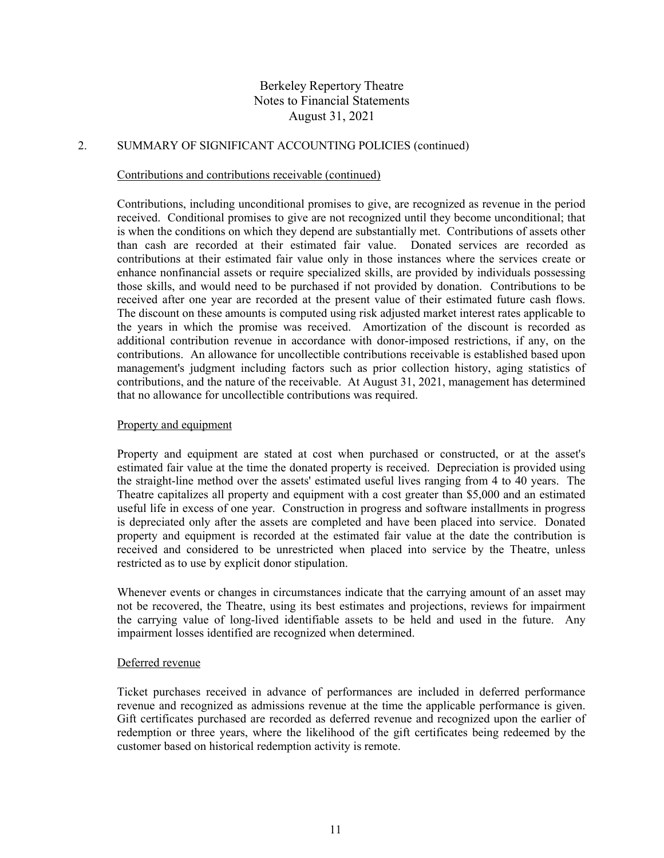#### 2. SUMMARY OF SIGNIFICANT ACCOUNTING POLICIES (continued)

#### Contributions and contributions receivable (continued)

Contributions, including unconditional promises to give, are recognized as revenue in the period received. Conditional promises to give are not recognized until they become unconditional; that is when the conditions on which they depend are substantially met. Contributions of assets other than cash are recorded at their estimated fair value. Donated services are recorded as contributions at their estimated fair value only in those instances where the services create or enhance nonfinancial assets or require specialized skills, are provided by individuals possessing those skills, and would need to be purchased if not provided by donation. Contributions to be received after one year are recorded at the present value of their estimated future cash flows. The discount on these amounts is computed using risk adjusted market interest rates applicable to the years in which the promise was received. Amortization of the discount is recorded as additional contribution revenue in accordance with donor-imposed restrictions, if any, on the contributions. An allowance for uncollectible contributions receivable is established based upon management's judgment including factors such as prior collection history, aging statistics of contributions, and the nature of the receivable. At August 31, 2021, management has determined that no allowance for uncollectible contributions was required.

#### Property and equipment

Property and equipment are stated at cost when purchased or constructed, or at the asset's estimated fair value at the time the donated property is received. Depreciation is provided using the straight-line method over the assets' estimated useful lives ranging from 4 to 40 years. The Theatre capitalizes all property and equipment with a cost greater than \$5,000 and an estimated useful life in excess of one year. Construction in progress and software installments in progress is depreciated only after the assets are completed and have been placed into service. Donated property and equipment is recorded at the estimated fair value at the date the contribution is received and considered to be unrestricted when placed into service by the Theatre, unless restricted as to use by explicit donor stipulation.

Whenever events or changes in circumstances indicate that the carrying amount of an asset may not be recovered, the Theatre, using its best estimates and projections, reviews for impairment the carrying value of long-lived identifiable assets to be held and used in the future. Any impairment losses identified are recognized when determined.

#### Deferred revenue

Ticket purchases received in advance of performances are included in deferred performance revenue and recognized as admissions revenue at the time the applicable performance is given. Gift certificates purchased are recorded as deferred revenue and recognized upon the earlier of redemption or three years, where the likelihood of the gift certificates being redeemed by the customer based on historical redemption activity is remote.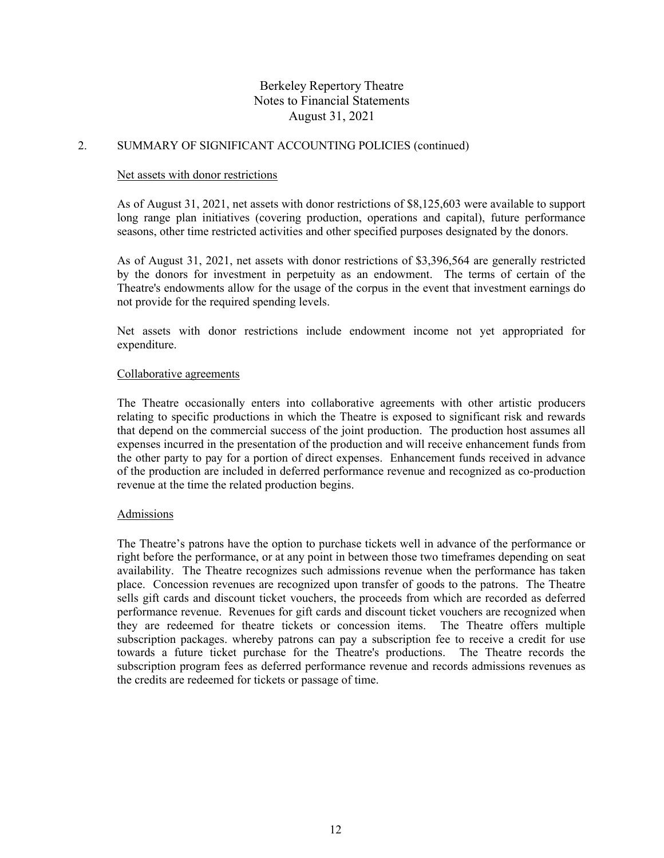### 2. SUMMARY OF SIGNIFICANT ACCOUNTING POLICIES (continued)

#### Net assets with donor restrictions

As of August 31, 2021, net assets with donor restrictions of \$8,125,603 were available to support long range plan initiatives (covering production, operations and capital), future performance seasons, other time restricted activities and other specified purposes designated by the donors.

As of August 31, 2021, net assets with donor restrictions of \$3,396,564 are generally restricted by the donors for investment in perpetuity as an endowment. The terms of certain of the Theatre's endowments allow for the usage of the corpus in the event that investment earnings do not provide for the required spending levels.

Net assets with donor restrictions include endowment income not yet appropriated for expenditure.

#### Collaborative agreements

The Theatre occasionally enters into collaborative agreements with other artistic producers relating to specific productions in which the Theatre is exposed to significant risk and rewards that depend on the commercial success of the joint production. The production host assumes all expenses incurred in the presentation of the production and will receive enhancement funds from the other party to pay for a portion of direct expenses. Enhancement funds received in advance of the production are included in deferred performance revenue and recognized as co-production revenue at the time the related production begins.

#### Admissions

The Theatre's patrons have the option to purchase tickets well in advance of the performance or right before the performance, or at any point in between those two timeframes depending on seat availability. The Theatre recognizes such admissions revenue when the performance has taken place. Concession revenues are recognized upon transfer of goods to the patrons. The Theatre sells gift cards and discount ticket vouchers, the proceeds from which are recorded as deferred performance revenue. Revenues for gift cards and discount ticket vouchers are recognized when they are redeemed for theatre tickets or concession items. The Theatre offers multiple subscription packages. whereby patrons can pay a subscription fee to receive a credit for use towards a future ticket purchase for the Theatre's productions. The Theatre records the subscription program fees as deferred performance revenue and records admissions revenues as the credits are redeemed for tickets or passage of time.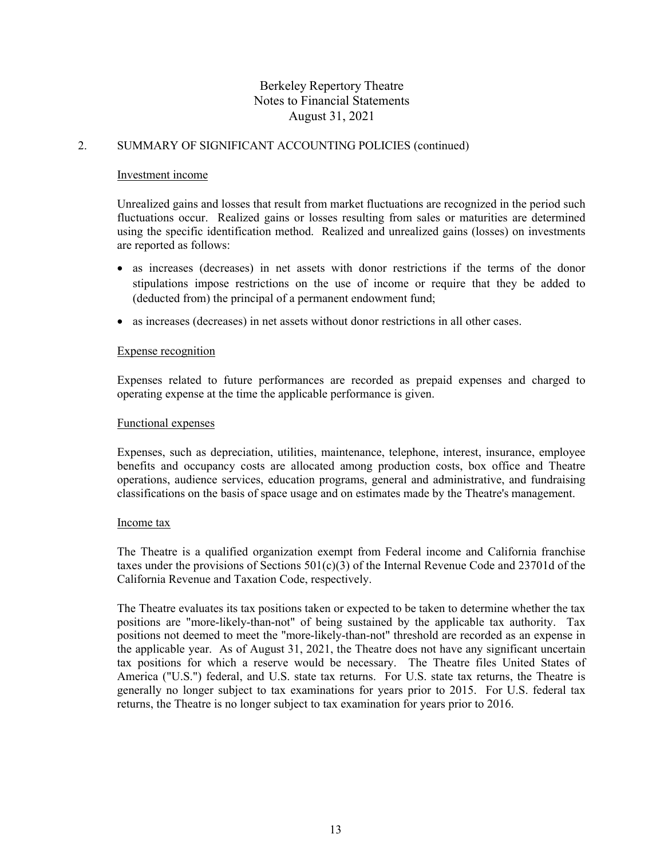### 2. SUMMARY OF SIGNIFICANT ACCOUNTING POLICIES (continued)

#### Investment income

Unrealized gains and losses that result from market fluctuations are recognized in the period such fluctuations occur. Realized gains or losses resulting from sales or maturities are determined using the specific identification method. Realized and unrealized gains (losses) on investments are reported as follows:

- as increases (decreases) in net assets with donor restrictions if the terms of the donor stipulations impose restrictions on the use of income or require that they be added to (deducted from) the principal of a permanent endowment fund;
- as increases (decreases) in net assets without donor restrictions in all other cases.

#### Expense recognition

Expenses related to future performances are recorded as prepaid expenses and charged to operating expense at the time the applicable performance is given.

#### Functional expenses

Expenses, such as depreciation, utilities, maintenance, telephone, interest, insurance, employee benefits and occupancy costs are allocated among production costs, box office and Theatre operations, audience services, education programs, general and administrative, and fundraising classifications on the basis of space usage and on estimates made by the Theatre's management.

#### Income tax

The Theatre is a qualified organization exempt from Federal income and California franchise taxes under the provisions of Sections  $501(c)(3)$  of the Internal Revenue Code and 23701d of the California Revenue and Taxation Code, respectively.

The Theatre evaluates its tax positions taken or expected to be taken to determine whether the tax positions are "more-likely-than-not" of being sustained by the applicable tax authority. Tax positions not deemed to meet the "more-likely-than-not" threshold are recorded as an expense in the applicable year. As of August 31, 2021, the Theatre does not have any significant uncertain tax positions for which a reserve would be necessary. The Theatre files United States of America ("U.S.") federal, and U.S. state tax returns. For U.S. state tax returns, the Theatre is generally no longer subject to tax examinations for years prior to 2015. For U.S. federal tax returns, the Theatre is no longer subject to tax examination for years prior to 2016.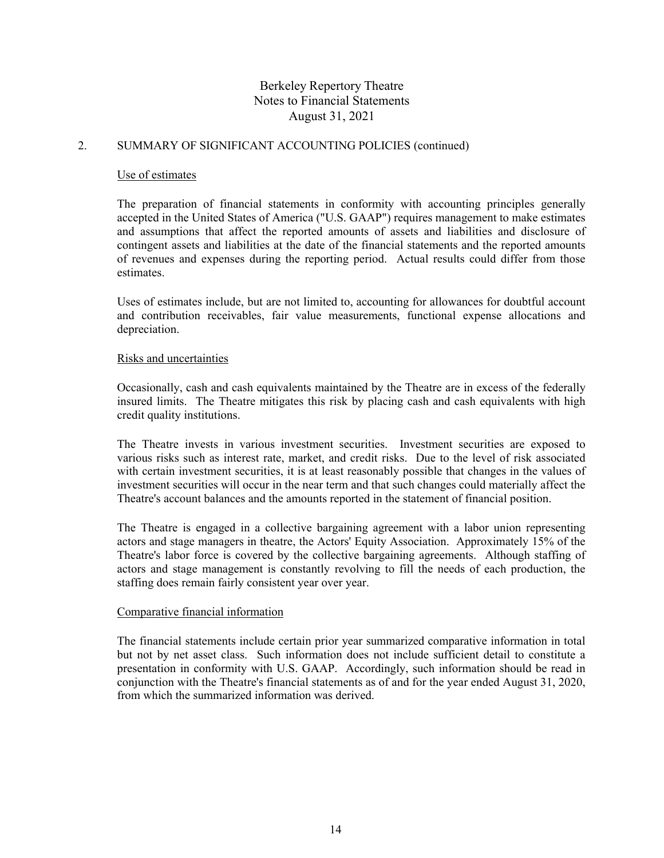### 2. SUMMARY OF SIGNIFICANT ACCOUNTING POLICIES (continued)

#### Use of estimates

The preparation of financial statements in conformity with accounting principles generally accepted in the United States of America ("U.S. GAAP") requires management to make estimates and assumptions that affect the reported amounts of assets and liabilities and disclosure of contingent assets and liabilities at the date of the financial statements and the reported amounts of revenues and expenses during the reporting period. Actual results could differ from those estimates.

Uses of estimates include, but are not limited to, accounting for allowances for doubtful account and contribution receivables, fair value measurements, functional expense allocations and depreciation.

#### Risks and uncertainties

Occasionally, cash and cash equivalents maintained by the Theatre are in excess of the federally insured limits. The Theatre mitigates this risk by placing cash and cash equivalents with high credit quality institutions.

The Theatre invests in various investment securities. Investment securities are exposed to various risks such as interest rate, market, and credit risks. Due to the level of risk associated with certain investment securities, it is at least reasonably possible that changes in the values of investment securities will occur in the near term and that such changes could materially affect the Theatre's account balances and the amounts reported in the statement of financial position.

The Theatre is engaged in a collective bargaining agreement with a labor union representing actors and stage managers in theatre, the Actors' Equity Association. Approximately 15% of the Theatre's labor force is covered by the collective bargaining agreements. Although staffing of actors and stage management is constantly revolving to fill the needs of each production, the staffing does remain fairly consistent year over year.

#### Comparative financial information

The financial statements include certain prior year summarized comparative information in total but not by net asset class. Such information does not include sufficient detail to constitute a presentation in conformity with U.S. GAAP. Accordingly, such information should be read in conjunction with the Theatre's financial statements as of and for the year ended August 31, 2020, from which the summarized information was derived.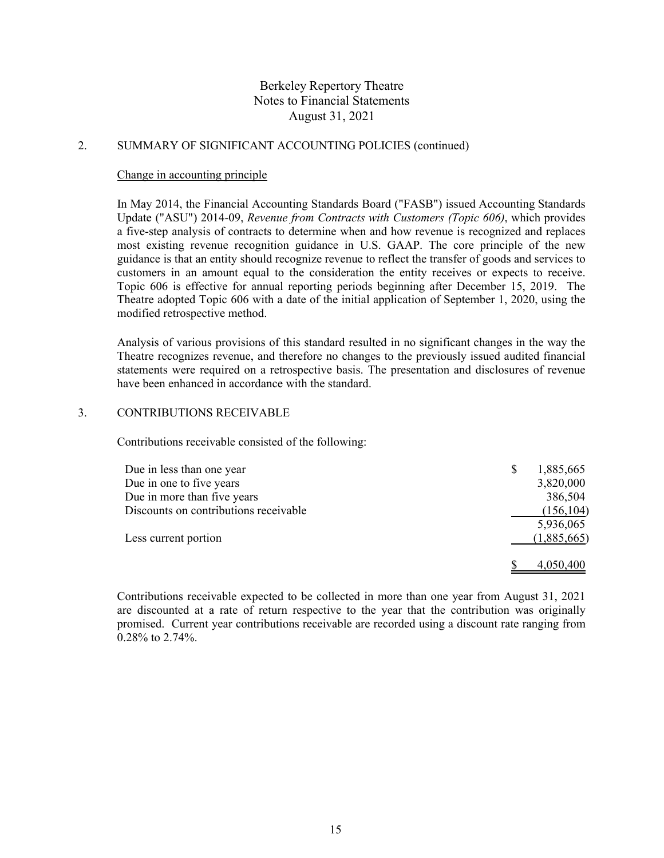### 2. SUMMARY OF SIGNIFICANT ACCOUNTING POLICIES (continued)

#### Change in accounting principle

In May 2014, the Financial Accounting Standards Board ("FASB") issued Accounting Standards Update ("ASU") 2014-09, *Revenue from Contracts with Customers (Topic 606)*, which provides a five-step analysis of contracts to determine when and how revenue is recognized and replaces most existing revenue recognition guidance in U.S. GAAP. The core principle of the new guidance is that an entity should recognize revenue to reflect the transfer of goods and services to customers in an amount equal to the consideration the entity receives or expects to receive. Topic 606 is effective for annual reporting periods beginning after December 15, 2019. The Theatre adopted Topic 606 with a date of the initial application of September 1, 2020, using the modified retrospective method.

Analysis of various provisions of this standard resulted in no significant changes in the way the Theatre recognizes revenue, and therefore no changes to the previously issued audited financial statements were required on a retrospective basis. The presentation and disclosures of revenue have been enhanced in accordance with the standard.

#### 3. CONTRIBUTIONS RECEIVABLE

Contributions receivable consisted of the following:

| \$<br>1,885,665 |
|-----------------|
| 3,820,000       |
| 386,504         |
| (156, 104)      |
| 5,936,065       |
| (1,885,665)     |
| 4,050,400       |
|                 |

Contributions receivable expected to be collected in more than one year from August 31, 2021 are discounted at a rate of return respective to the year that the contribution was originally promised. Current year contributions receivable are recorded using a discount rate ranging from 0.28% to 2.74%.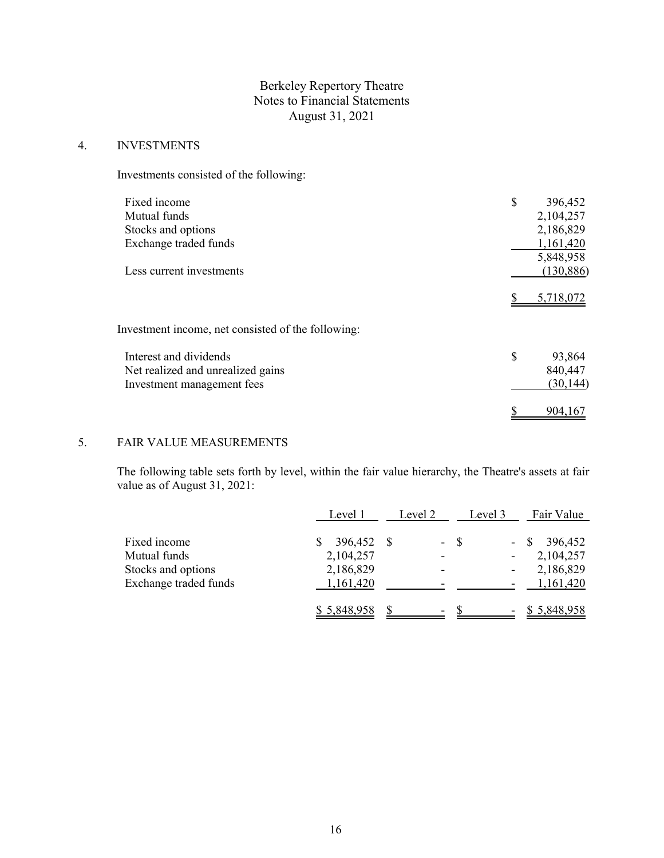### 4. INVESTMENTS

Investments consisted of the following:

| Fixed income<br>Mutual funds<br>Stocks and options<br>Exchange traded funds<br>Less current investments | \$<br>396,452<br>2,104,257<br>2,186,829<br>1,161,420<br>5,848,958<br>(130, 886) |
|---------------------------------------------------------------------------------------------------------|---------------------------------------------------------------------------------|
|                                                                                                         | 5,718,072                                                                       |
| Investment income, net consisted of the following:                                                      |                                                                                 |
| Interest and dividends<br>Net realized and unrealized gains<br>Investment management fees               | \$<br>93,864<br>840,447<br>(30, 144)                                            |
|                                                                                                         | 904,167                                                                         |

# 5. FAIR VALUE MEASUREMENTS

The following table sets forth by level, within the fair value hierarchy, the Theatre's assets at fair value as of August 31, 2021:

|                       | Level 1     | Level 2                  | Level 3                  | Fair Value     |  |  |
|-----------------------|-------------|--------------------------|--------------------------|----------------|--|--|
| Fixed income          | 396,452 \$  |                          | - \$                     | 396,452<br>- S |  |  |
| Mutual funds          | 2,104,257   |                          | $\overline{\phantom{a}}$ | 2,104,257      |  |  |
| Stocks and options    | 2,186,829   |                          | $\overline{\phantom{a}}$ | 2,186,829      |  |  |
| Exchange traded funds | 1,161,420   |                          |                          | 1,161,420      |  |  |
|                       | \$5,848,958 | $\overline{\phantom{a}}$ |                          | \$5,848,958    |  |  |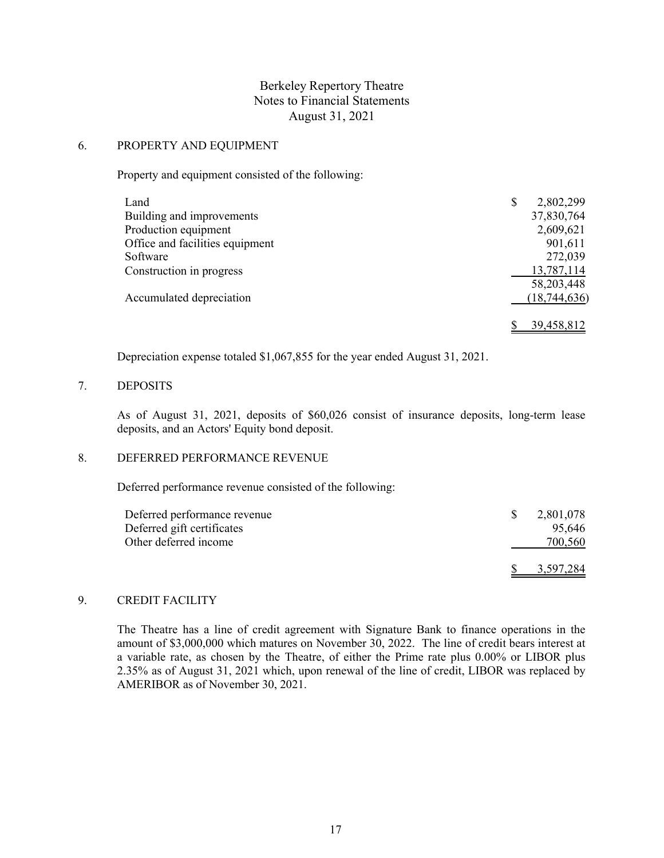#### 6. PROPERTY AND EQUIPMENT

Property and equipment consisted of the following:

| Land                            | 2,802,299<br>\$ |
|---------------------------------|-----------------|
| Building and improvements       | 37,830,764      |
| Production equipment            | 2,609,621       |
| Office and facilities equipment | 901,611         |
| Software                        | 272,039         |
| Construction in progress        | 13,787,114      |
|                                 | 58, 203, 448    |
| Accumulated depreciation        | (18,744,636)    |
|                                 | 39,458,812      |
|                                 |                 |

Depreciation expense totaled \$1,067,855 for the year ended August 31, 2021.

#### 7. DEPOSITS

As of August 31, 2021, deposits of \$60,026 consist of insurance deposits, long-term lease deposits, and an Actors' Equity bond deposit.

### 8. DEFERRED PERFORMANCE REVENUE

Deferred performance revenue consisted of the following:

| Deferred performance revenue | 2,801,078 |
|------------------------------|-----------|
| Deferred gift certificates   | 95,646    |
| Other deferred income        | 700,560   |
|                              | 3,597,284 |

#### 9. CREDIT FACILITY

The Theatre has a line of credit agreement with Signature Bank to finance operations in the amount of \$3,000,000 which matures on November 30, 2022. The line of credit bears interest at a variable rate, as chosen by the Theatre, of either the Prime rate plus 0.00% or LIBOR plus 2.35% as of August 31, 2021 which, upon renewal of the line of credit, LIBOR was replaced by AMERIBOR as of November 30, 2021.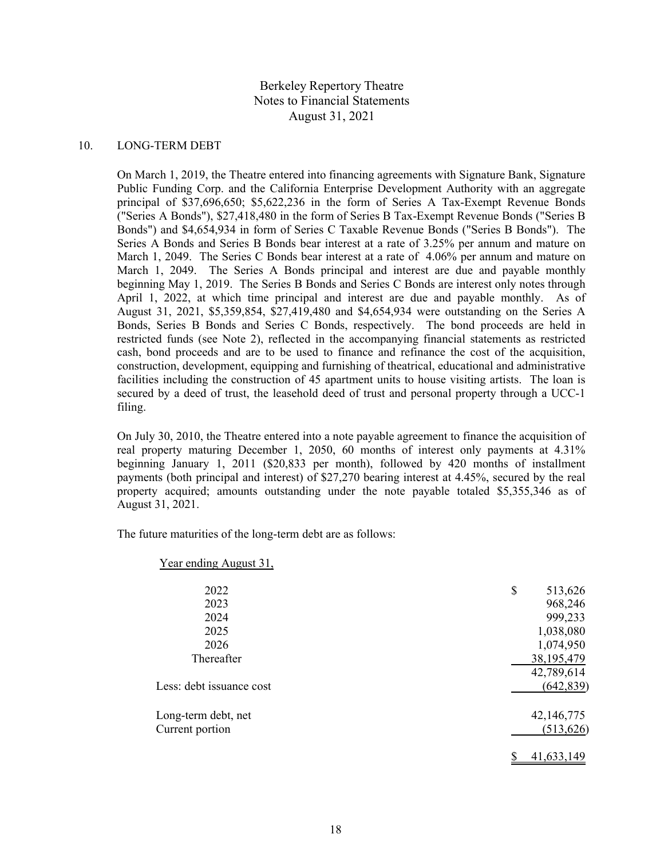#### 10. LONG-TERM DEBT

On March 1, 2019, the Theatre entered into financing agreements with Signature Bank, Signature Public Funding Corp. and the California Enterprise Development Authority with an aggregate principal of \$37,696,650; \$5,622,236 in the form of Series A Tax-Exempt Revenue Bonds ("Series A Bonds"), \$27,418,480 in the form of Series B Tax-Exempt Revenue Bonds ("Series B Bonds") and \$4,654,934 in form of Series C Taxable Revenue Bonds ("Series B Bonds"). The Series A Bonds and Series B Bonds bear interest at a rate of 3.25% per annum and mature on March 1, 2049. The Series C Bonds bear interest at a rate of 4.06% per annum and mature on March 1, 2049. The Series A Bonds principal and interest are due and payable monthly beginning May 1, 2019. The Series B Bonds and Series C Bonds are interest only notes through April 1, 2022, at which time principal and interest are due and payable monthly. As of August 31, 2021, \$5,359,854, \$27,419,480 and \$4,654,934 were outstanding on the Series A Bonds, Series B Bonds and Series C Bonds, respectively. The bond proceeds are held in restricted funds (see Note 2), reflected in the accompanying financial statements as restricted cash, bond proceeds and are to be used to finance and refinance the cost of the acquisition, construction, development, equipping and furnishing of theatrical, educational and administrative facilities including the construction of 45 apartment units to house visiting artists. The loan is secured by a deed of trust, the leasehold deed of trust and personal property through a UCC-1 filing.

On July 30, 2010, the Theatre entered into a note payable agreement to finance the acquisition of real property maturing December 1, 2050, 60 months of interest only payments at 4.31% beginning January 1, 2011 (\$20,833 per month), followed by 420 months of installment payments (both principal and interest) of \$27,270 bearing interest at 4.45%, secured by the real property acquired; amounts outstanding under the note payable totaled \$5,355,346 as of August 31, 2021.

The future maturities of the long-term debt are as follows:

Year ending August 31,

| 2022                     | \$<br>513,626 |  |
|--------------------------|---------------|--|
| 2023                     | 968,246       |  |
| 2024                     | 999,233       |  |
| 2025                     | 1,038,080     |  |
| 2026                     | 1,074,950     |  |
| Thereafter               | 38, 195, 479  |  |
|                          | 42,789,614    |  |
| Less: debt issuance cost | (642, 839)    |  |
| Long-term debt, net      | 42,146,775    |  |
| Current portion          | (513, 626)    |  |
|                          | 41,633,149    |  |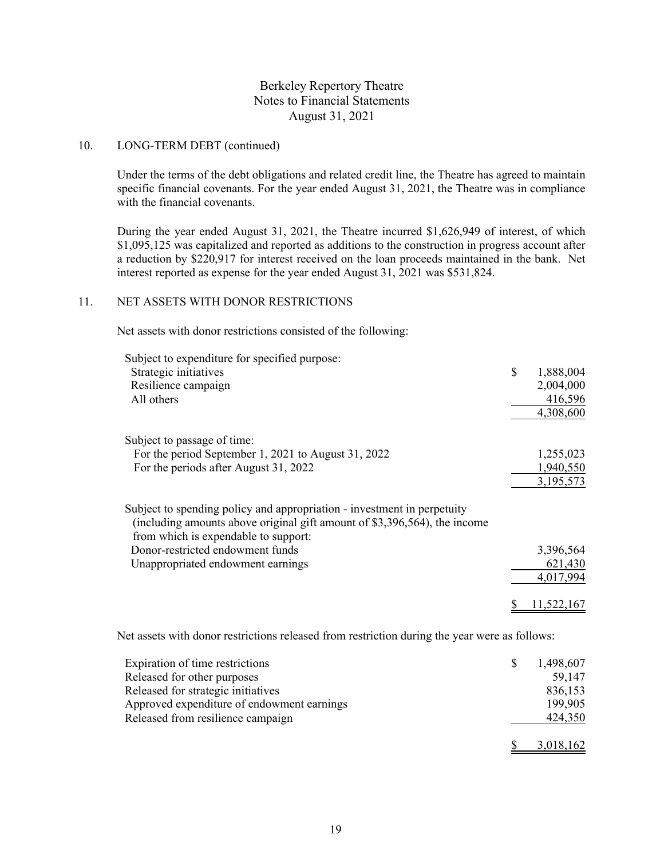### 10. LONG-TERM DEBT (continued)

Under the terms of the debt obligations and related credit line, the Theatre has agreed to maintain specific financial covenants. For the year ended August 31, 2021, the Theatre was in compliance with the financial covenants.

During the year ended August 31, 2021, the Theatre incurred \$1,626,949 of interest, of which \$1,095,125 was capitalized and reported as additions to the construction in progress account after a reduction by \$220,917 for interest received on the loan proceeds maintained in the bank. Net interest reported as expense for the year ended August 31, 2021 was \$531,824.

#### 11. NET ASSETS WITH DONOR RESTRICTIONS

Net assets with donor restrictions consisted of the following:

| Subject to expenditure for specified purpose:                                                                                                                                                |                 |
|----------------------------------------------------------------------------------------------------------------------------------------------------------------------------------------------|-----------------|
| Strategic initiatives                                                                                                                                                                        | \$<br>1,888,004 |
| Resilience campaign                                                                                                                                                                          | 2,004,000       |
| All others                                                                                                                                                                                   | 416,596         |
|                                                                                                                                                                                              | 4,308,600       |
| Subject to passage of time:                                                                                                                                                                  |                 |
| For the period September 1, 2021 to August 31, 2022                                                                                                                                          | 1,255,023       |
| For the periods after August 31, 2022                                                                                                                                                        | 1,940,550       |
|                                                                                                                                                                                              | 3,195,573       |
| Subject to spending policy and appropriation - investment in perpetuity<br>(including amounts above original gift amount of \$3,396,564), the income<br>from which is expendable to support: |                 |
| Donor-restricted endowment funds                                                                                                                                                             | 3,396,564       |
| Unappropriated endowment earnings                                                                                                                                                            | 621,430         |
|                                                                                                                                                                                              | 4,017,994       |
|                                                                                                                                                                                              | 11,522,167      |

Net assets with donor restrictions released from restriction during the year were as follows:

| Expiration of time restrictions            | 1,498,607 |
|--------------------------------------------|-----------|
| Released for other purposes                | 59,147    |
| Released for strategic initiatives         | 836,153   |
| Approved expenditure of endowment earnings | 199,905   |
| Released from resilience campaign          | 424,350   |
|                                            | 3,018,162 |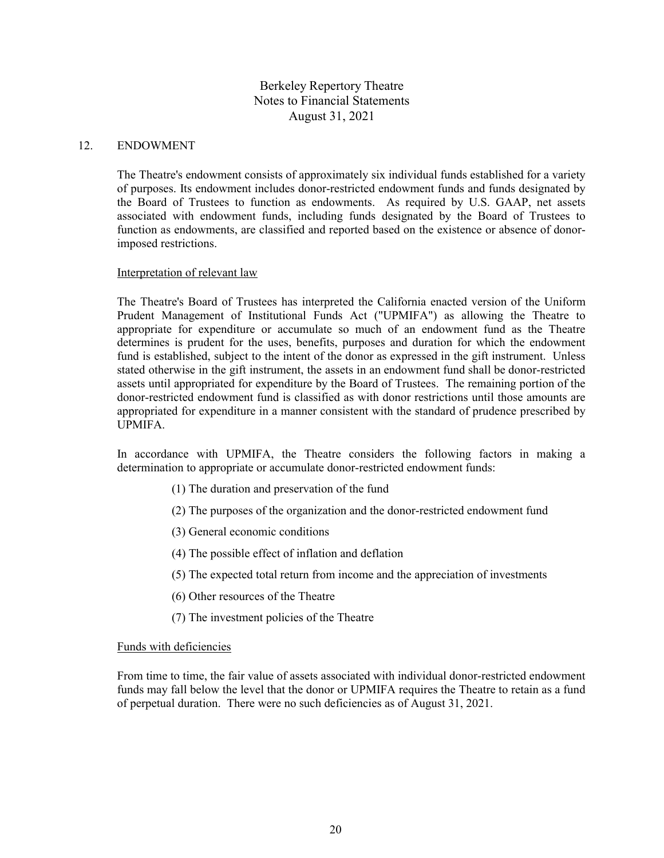#### 12. ENDOWMENT

The Theatre's endowment consists of approximately six individual funds established for a variety of purposes. Its endowment includes donor-restricted endowment funds and funds designated by the Board of Trustees to function as endowments. As required by U.S. GAAP, net assets associated with endowment funds, including funds designated by the Board of Trustees to function as endowments, are classified and reported based on the existence or absence of donorimposed restrictions.

#### Interpretation of relevant law

The Theatre's Board of Trustees has interpreted the California enacted version of the Uniform Prudent Management of Institutional Funds Act ("UPMIFA") as allowing the Theatre to appropriate for expenditure or accumulate so much of an endowment fund as the Theatre determines is prudent for the uses, benefits, purposes and duration for which the endowment fund is established, subject to the intent of the donor as expressed in the gift instrument. Unless stated otherwise in the gift instrument, the assets in an endowment fund shall be donor-restricted assets until appropriated for expenditure by the Board of Trustees. The remaining portion of the donor-restricted endowment fund is classified as with donor restrictions until those amounts are appropriated for expenditure in a manner consistent with the standard of prudence prescribed by UPMIFA.

In accordance with UPMIFA, the Theatre considers the following factors in making a determination to appropriate or accumulate donor-restricted endowment funds:

- (1) The duration and preservation of the fund
- (2) The purposes of the organization and the donor-restricted endowment fund
- (3) General economic conditions
- (4) The possible effect of inflation and deflation
- (5) The expected total return from income and the appreciation of investments
- (6) Other resources of the Theatre
- (7) The investment policies of the Theatre

#### Funds with deficiencies

From time to time, the fair value of assets associated with individual donor-restricted endowment funds may fall below the level that the donor or UPMIFA requires the Theatre to retain as a fund of perpetual duration. There were no such deficiencies as of August 31, 2021.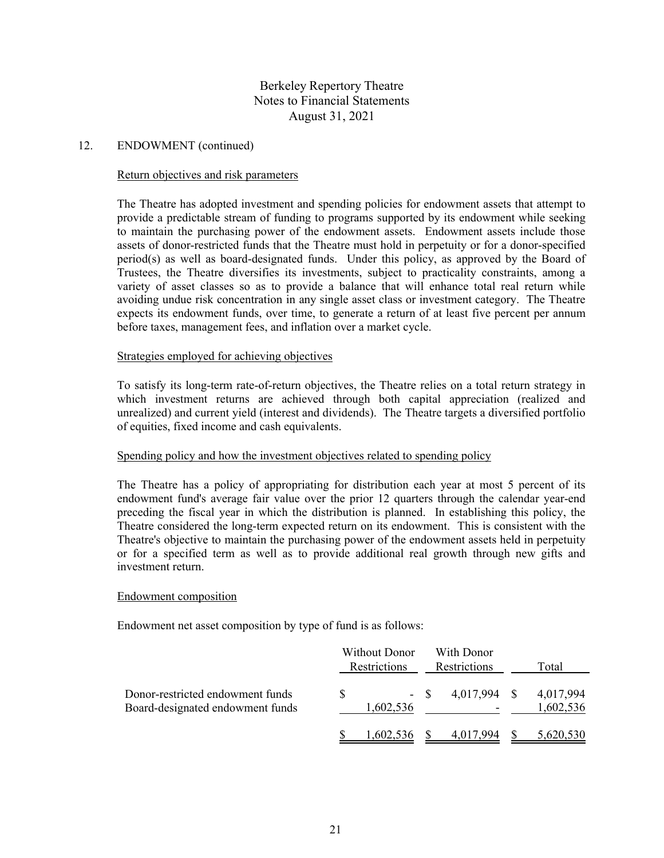#### 12. ENDOWMENT (continued)

#### Return objectives and risk parameters

The Theatre has adopted investment and spending policies for endowment assets that attempt to provide a predictable stream of funding to programs supported by its endowment while seeking to maintain the purchasing power of the endowment assets. Endowment assets include those assets of donor-restricted funds that the Theatre must hold in perpetuity or for a donor-specified period(s) as well as board-designated funds. Under this policy, as approved by the Board of Trustees, the Theatre diversifies its investments, subject to practicality constraints, among a variety of asset classes so as to provide a balance that will enhance total real return while avoiding undue risk concentration in any single asset class or investment category. The Theatre expects its endowment funds, over time, to generate a return of at least five percent per annum before taxes, management fees, and inflation over a market cycle.

#### Strategies employed for achieving objectives

To satisfy its long-term rate-of-return objectives, the Theatre relies on a total return strategy in which investment returns are achieved through both capital appreciation (realized and unrealized) and current yield (interest and dividends). The Theatre targets a diversified portfolio of equities, fixed income and cash equivalents.

#### Spending policy and how the investment objectives related to spending policy

The Theatre has a policy of appropriating for distribution each year at most 5 percent of its endowment fund's average fair value over the prior 12 quarters through the calendar year-end preceding the fiscal year in which the distribution is planned. In establishing this policy, the Theatre considered the long-term expected return on its endowment. This is consistent with the Theatre's objective to maintain the purchasing power of the endowment assets held in perpetuity or for a specified term as well as to provide additional real growth through new gifts and investment return.

#### Endowment composition

Endowment net asset composition by type of fund is as follows:

|                                                                      | With Donor<br>Without Donor<br>Restrictions<br>Restrictions |           | Total |              |    |                        |
|----------------------------------------------------------------------|-------------------------------------------------------------|-----------|-------|--------------|----|------------------------|
| Donor-restricted endowment funds<br>Board-designated endowment funds |                                                             | 1,602,536 | - \$  | 4,017,994 \$ |    | 4,017,994<br>1,602,536 |
|                                                                      |                                                             | 1,602,536 |       | 4,017,994    | -S | 5,620,530              |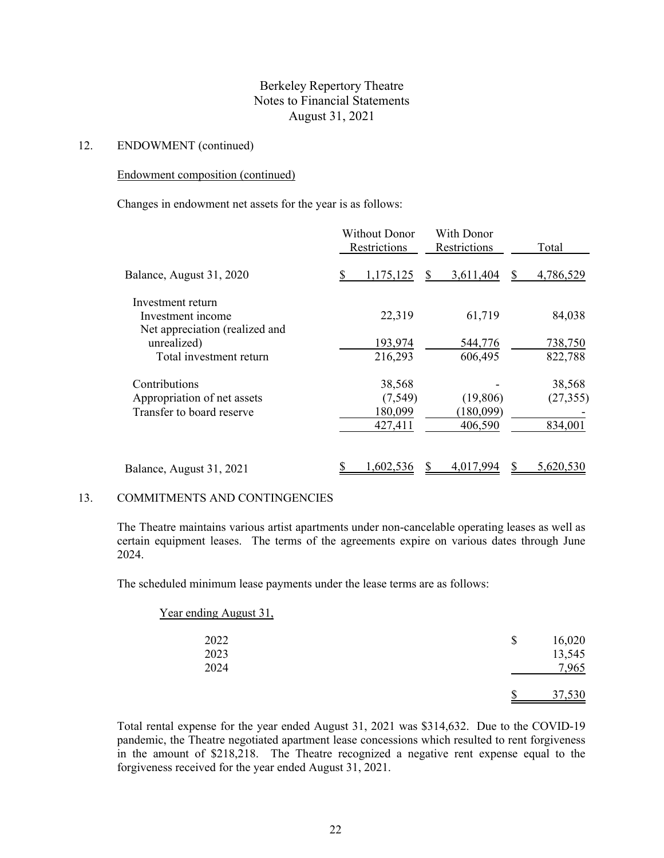#### 12. ENDOWMENT (continued)

#### Endowment composition (continued)

Changes in endowment net assets for the year is as follows:

|                                                                           | Without Donor<br>Restrictions            |    | With Donor<br>Restrictions       |          | Total                          |
|---------------------------------------------------------------------------|------------------------------------------|----|----------------------------------|----------|--------------------------------|
| Balance, August 31, 2020                                                  | 1,175,125                                | S. | 3,611,404                        | <b>S</b> | 4,786,529                      |
| Investment return<br>Investment income                                    | 22,319                                   |    | 61,719                           |          | 84,038                         |
| Net appreciation (realized and<br>unrealized)<br>Total investment return  | 193,974<br>216,293                       |    | 544,776<br>606,495               |          | 738,750<br>822,788             |
| Contributions<br>Appropriation of net assets<br>Transfer to board reserve | 38,568<br>(7, 549)<br>180,099<br>427,411 |    | (19,806)<br>(180,099)<br>406,590 |          | 38,568<br>(27, 355)<br>834,001 |
| Balance, August 31, 2021                                                  | 1,602,536                                |    | 4,017,994                        |          | 5,620,530                      |

#### 13. COMMITMENTS AND CONTINGENCIES

The Theatre maintains various artist apartments under non-cancelable operating leases as well as certain equipment leases. The terms of the agreements expire on various dates through June 2024.

The scheduled minimum lease payments under the lease terms are as follows:

| Year ending August 31, |              |
|------------------------|--------------|
| 2022                   | \$<br>16,020 |
| 2023                   | 13,545       |
| 2024                   | 7,965        |
|                        |              |
|                        | 37,530       |

Total rental expense for the year ended August 31, 2021 was \$314,632. Due to the COVID-19 pandemic, the Theatre negotiated apartment lease concessions which resulted to rent forgiveness in the amount of \$218,218. The Theatre recognized a negative rent expense equal to the forgiveness received for the year ended August 31, 2021.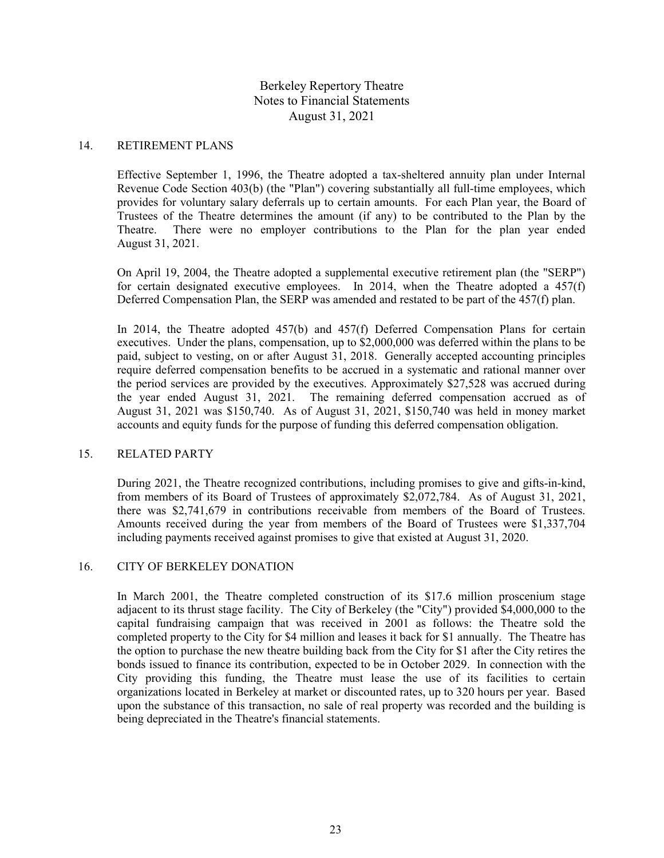#### 14. RETIREMENT PLANS

Effective September 1, 1996, the Theatre adopted a tax-sheltered annuity plan under Internal Revenue Code Section 403(b) (the "Plan") covering substantially all full-time employees, which provides for voluntary salary deferrals up to certain amounts. For each Plan year, the Board of Trustees of the Theatre determines the amount (if any) to be contributed to the Plan by the Theatre. There were no employer contributions to the Plan for the plan year ended August 31, 2021.

On April 19, 2004, the Theatre adopted a supplemental executive retirement plan (the "SERP") for certain designated executive employees. In 2014, when the Theatre adopted a  $457(f)$ Deferred Compensation Plan, the SERP was amended and restated to be part of the 457(f) plan.

In 2014, the Theatre adopted 457(b) and 457(f) Deferred Compensation Plans for certain executives. Under the plans, compensation, up to \$2,000,000 was deferred within the plans to be paid, subject to vesting, on or after August 31, 2018. Generally accepted accounting principles require deferred compensation benefits to be accrued in a systematic and rational manner over the period services are provided by the executives. Approximately \$27,528 was accrued during the year ended August 31, 2021. The remaining deferred compensation accrued as of August 31, 2021 was \$150,740. As of August 31, 2021, \$150,740 was held in money market accounts and equity funds for the purpose of funding this deferred compensation obligation.

### 15. RELATED PARTY

During 2021, the Theatre recognized contributions, including promises to give and gifts-in-kind, from members of its Board of Trustees of approximately \$2,072,784. As of August 31, 2021, there was \$2,741,679 in contributions receivable from members of the Board of Trustees. Amounts received during the year from members of the Board of Trustees were \$1,337,704 including payments received against promises to give that existed at August 31, 2020.

#### 16. CITY OF BERKELEY DONATION

In March 2001, the Theatre completed construction of its \$17.6 million proscenium stage adjacent to its thrust stage facility. The City of Berkeley (the "City") provided \$4,000,000 to the capital fundraising campaign that was received in 2001 as follows: the Theatre sold the completed property to the City for \$4 million and leases it back for \$1 annually. The Theatre has the option to purchase the new theatre building back from the City for \$1 after the City retires the bonds issued to finance its contribution, expected to be in October 2029. In connection with the City providing this funding, the Theatre must lease the use of its facilities to certain organizations located in Berkeley at market or discounted rates, up to 320 hours per year. Based upon the substance of this transaction, no sale of real property was recorded and the building is being depreciated in the Theatre's financial statements.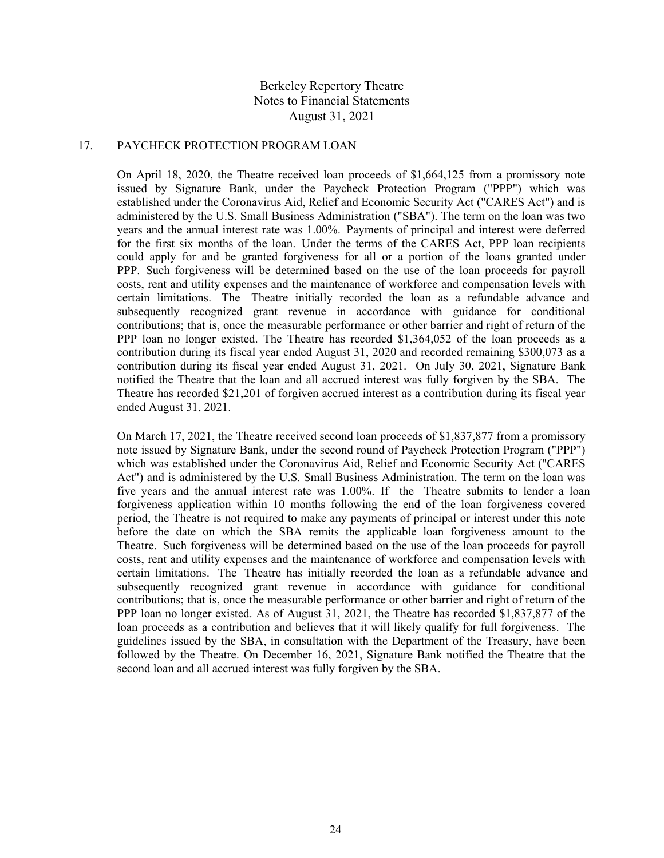#### 17. PAYCHECK PROTECTION PROGRAM LOAN

On April 18, 2020, the Theatre received loan proceeds of \$1,664,125 from a promissory note issued by Signature Bank, under the Paycheck Protection Program ("PPP") which was established under the Coronavirus Aid, Relief and Economic Security Act ("CARES Act") and is administered by the U.S. Small Business Administration ("SBA"). The term on the loan was two years and the annual interest rate was 1.00%. Payments of principal and interest were deferred for the first six months of the loan. Under the terms of the CARES Act, PPP loan recipients could apply for and be granted forgiveness for all or a portion of the loans granted under PPP. Such forgiveness will be determined based on the use of the loan proceeds for payroll costs, rent and utility expenses and the maintenance of workforce and compensation levels with certain limitations. The Theatre initially recorded the loan as a refundable advance and subsequently recognized grant revenue in accordance with guidance for conditional contributions; that is, once the measurable performance or other barrier and right of return of the PPP loan no longer existed. The Theatre has recorded \$1,364,052 of the loan proceeds as a contribution during its fiscal year ended August 31, 2020 and recorded remaining \$300,073 as a contribution during its fiscal year ended August 31, 2021. On July 30, 2021, Signature Bank notified the Theatre that the loan and all accrued interest was fully forgiven by the SBA. The Theatre has recorded \$21,201 of forgiven accrued interest as a contribution during its fiscal year ended August 31, 2021.

On March 17, 2021, the Theatre received second loan proceeds of \$1,837,877 from a promissory note issued by Signature Bank, under the second round of Paycheck Protection Program ("PPP") which was established under the Coronavirus Aid, Relief and Economic Security Act ("CARES Act") and is administered by the U.S. Small Business Administration. The term on the loan was five years and the annual interest rate was 1.00%. If the Theatre submits to lender a loan forgiveness application within 10 months following the end of the loan forgiveness covered period, the Theatre is not required to make any payments of principal or interest under this note before the date on which the SBA remits the applicable loan forgiveness amount to the Theatre. Such forgiveness will be determined based on the use of the loan proceeds for payroll costs, rent and utility expenses and the maintenance of workforce and compensation levels with certain limitations. The Theatre has initially recorded the loan as a refundable advance and subsequently recognized grant revenue in accordance with guidance for conditional contributions; that is, once the measurable performance or other barrier and right of return of the PPP loan no longer existed. As of August 31, 2021, the Theatre has recorded \$1,837,877 of the loan proceeds as a contribution and believes that it will likely qualify for full forgiveness. The guidelines issued by the SBA, in consultation with the Department of the Treasury, have been followed by the Theatre. On December 16, 2021, Signature Bank notified the Theatre that the second loan and all accrued interest was fully forgiven by the SBA.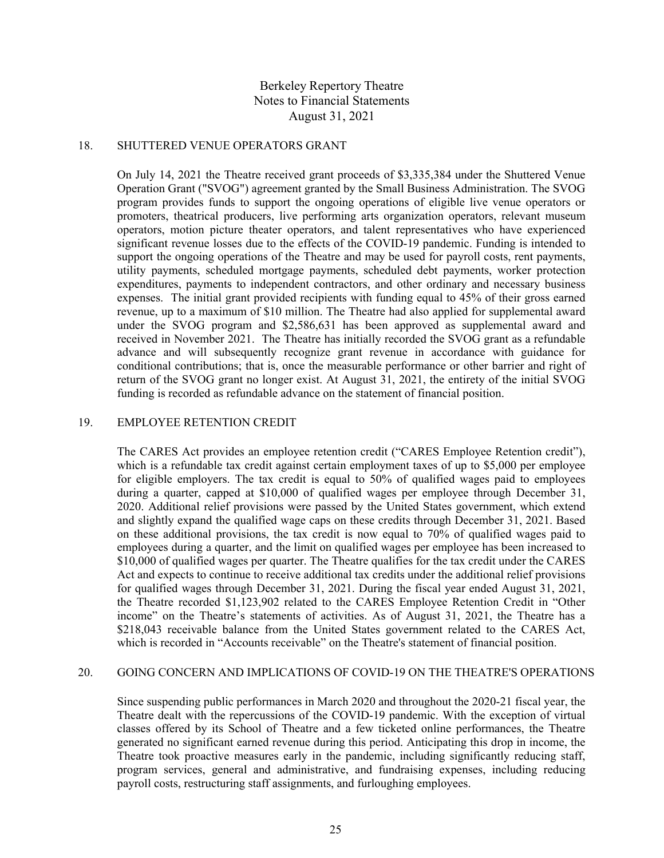#### 18. SHUTTERED VENUE OPERATORS GRANT

On July 14, 2021 the Theatre received grant proceeds of \$3,335,384 under the Shuttered Venue Operation Grant ("SVOG") agreement granted by the Small Business Administration. The SVOG program provides funds to support the ongoing operations of eligible live venue operators or promoters, theatrical producers, live performing arts organization operators, relevant museum operators, motion picture theater operators, and talent representatives who have experienced significant revenue losses due to the effects of the COVID-19 pandemic. Funding is intended to support the ongoing operations of the Theatre and may be used for payroll costs, rent payments, utility payments, scheduled mortgage payments, scheduled debt payments, worker protection expenditures, payments to independent contractors, and other ordinary and necessary business expenses. The initial grant provided recipients with funding equal to 45% of their gross earned revenue, up to a maximum of \$10 million. The Theatre had also applied for supplemental award under the SVOG program and \$2,586,631 has been approved as supplemental award and received in November 2021. The Theatre has initially recorded the SVOG grant as a refundable advance and will subsequently recognize grant revenue in accordance with guidance for conditional contributions; that is, once the measurable performance or other barrier and right of return of the SVOG grant no longer exist. At August 31, 2021, the entirety of the initial SVOG funding is recorded as refundable advance on the statement of financial position.

#### 19. EMPLOYEE RETENTION CREDIT

The CARES Act provides an employee retention credit ("CARES Employee Retention credit"), which is a refundable tax credit against certain employment taxes of up to \$5,000 per employee for eligible employers. The tax credit is equal to 50% of qualified wages paid to employees during a quarter, capped at \$10,000 of qualified wages per employee through December 31, 2020. Additional relief provisions were passed by the United States government, which extend and slightly expand the qualified wage caps on these credits through December 31, 2021. Based on these additional provisions, the tax credit is now equal to 70% of qualified wages paid to employees during a quarter, and the limit on qualified wages per employee has been increased to \$10,000 of qualified wages per quarter. The Theatre qualifies for the tax credit under the CARES Act and expects to continue to receive additional tax credits under the additional relief provisions for qualified wages through December 31, 2021. During the fiscal year ended August 31, 2021, the Theatre recorded \$1,123,902 related to the CARES Employee Retention Credit in "Other income" on the Theatre's statements of activities. As of August 31, 2021, the Theatre has a \$218,043 receivable balance from the United States government related to the CARES Act, which is recorded in "Accounts receivable" on the Theatre's statement of financial position.

#### 20. GOING CONCERN AND IMPLICATIONS OF COVID-19 ON THE THEATRE'S OPERATIONS

Since suspending public performances in March 2020 and throughout the 2020-21 fiscal year, the Theatre dealt with the repercussions of the COVID-19 pandemic. With the exception of virtual classes offered by its School of Theatre and a few ticketed online performances, the Theatre generated no significant earned revenue during this period. Anticipating this drop in income, the Theatre took proactive measures early in the pandemic, including significantly reducing staff, program services, general and administrative, and fundraising expenses, including reducing payroll costs, restructuring staff assignments, and furloughing employees.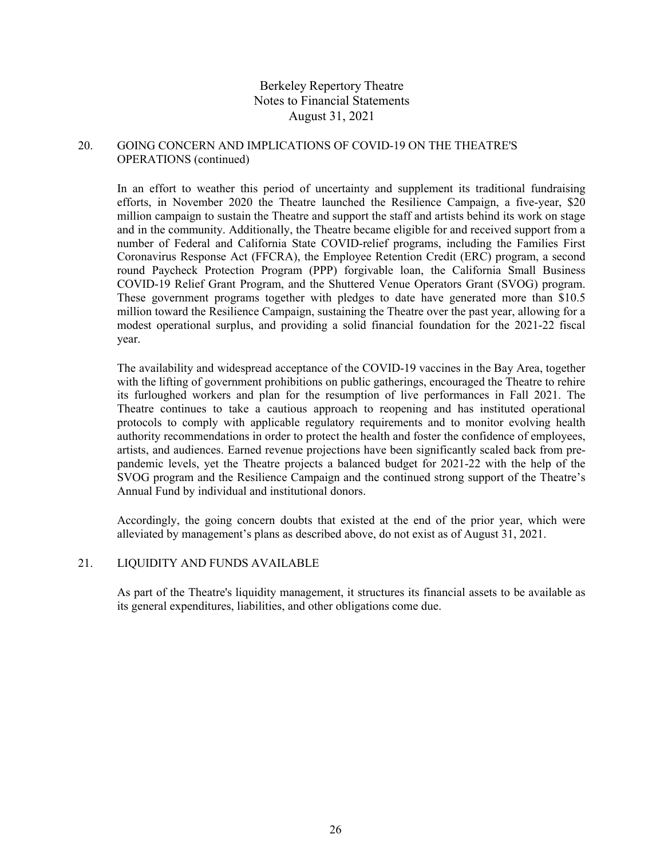### 20. GOING CONCERN AND IMPLICATIONS OF COVID-19 ON THE THEATRE'S OPERATIONS (continued)

In an effort to weather this period of uncertainty and supplement its traditional fundraising efforts, in November 2020 the Theatre launched the Resilience Campaign, a five-year, \$20 million campaign to sustain the Theatre and support the staff and artists behind its work on stage and in the community. Additionally, the Theatre became eligible for and received support from a number of Federal and California State COVID-relief programs, including the Families First Coronavirus Response Act (FFCRA), the Employee Retention Credit (ERC) program, a second round Paycheck Protection Program (PPP) forgivable loan, the California Small Business COVID-19 Relief Grant Program, and the Shuttered Venue Operators Grant (SVOG) program. These government programs together with pledges to date have generated more than \$10.5 million toward the Resilience Campaign, sustaining the Theatre over the past year, allowing for a modest operational surplus, and providing a solid financial foundation for the 2021-22 fiscal year.

The availability and widespread acceptance of the COVID-19 vaccines in the Bay Area, together with the lifting of government prohibitions on public gatherings, encouraged the Theatre to rehire its furloughed workers and plan for the resumption of live performances in Fall 2021. The Theatre continues to take a cautious approach to reopening and has instituted operational protocols to comply with applicable regulatory requirements and to monitor evolving health authority recommendations in order to protect the health and foster the confidence of employees, artists, and audiences. Earned revenue projections have been significantly scaled back from prepandemic levels, yet the Theatre projects a balanced budget for 2021-22 with the help of the SVOG program and the Resilience Campaign and the continued strong support of the Theatre's Annual Fund by individual and institutional donors.

Accordingly, the going concern doubts that existed at the end of the prior year, which were alleviated by management's plans as described above, do not exist as of August 31, 2021.

### 21. LIQUIDITY AND FUNDS AVAILABLE

As part of the Theatre's liquidity management, it structures its financial assets to be available as its general expenditures, liabilities, and other obligations come due.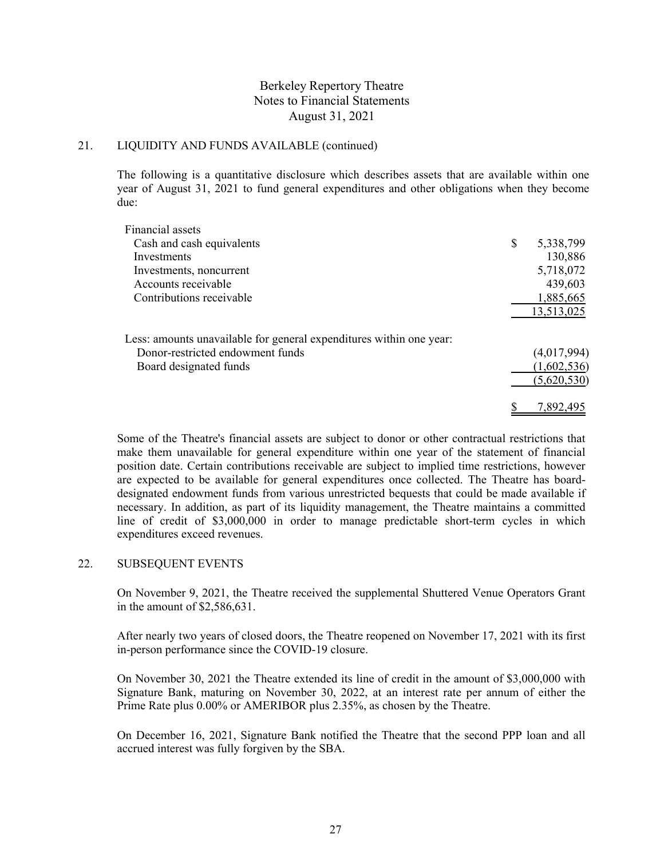### 21. LIQUIDITY AND FUNDS AVAILABLE (continued)

The following is a quantitative disclosure which describes assets that are available within one year of August 31, 2021 to fund general expenditures and other obligations when they become due:

| Financial assets                                                    |                 |
|---------------------------------------------------------------------|-----------------|
| Cash and cash equivalents                                           | \$<br>5,338,799 |
| Investments                                                         | 130,886         |
| Investments, noncurrent                                             | 5,718,072       |
| Accounts receivable                                                 | 439,603         |
| Contributions receivable                                            | 1,885,665       |
|                                                                     | 13,513,025      |
| Less: amounts unavailable for general expenditures within one year: |                 |
| Donor-restricted endowment funds                                    | (4,017,994)     |
| Board designated funds                                              | (1,602,536)     |
|                                                                     | (5,620,530)     |
|                                                                     | 7.892.495       |

Some of the Theatre's financial assets are subject to donor or other contractual restrictions that make them unavailable for general expenditure within one year of the statement of financial position date. Certain contributions receivable are subject to implied time restrictions, however are expected to be available for general expenditures once collected. The Theatre has boarddesignated endowment funds from various unrestricted bequests that could be made available if necessary. In addition, as part of its liquidity management, the Theatre maintains a committed line of credit of \$3,000,000 in order to manage predictable short-term cycles in which expenditures exceed revenues.

### 22. SUBSEQUENT EVENTS

On November 9, 2021, the Theatre received the supplemental Shuttered Venue Operators Grant in the amount of \$2,586,631.

After nearly two years of closed doors, the Theatre reopened on November 17, 2021 with its first in-person performance since the COVID-19 closure.

On November 30, 2021 the Theatre extended its line of credit in the amount of \$3,000,000 with Signature Bank, maturing on November 30, 2022, at an interest rate per annum of either the Prime Rate plus 0.00% or AMERIBOR plus 2.35%, as chosen by the Theatre.

On December 16, 2021, Signature Bank notified the Theatre that the second PPP loan and all accrued interest was fully forgiven by the SBA.